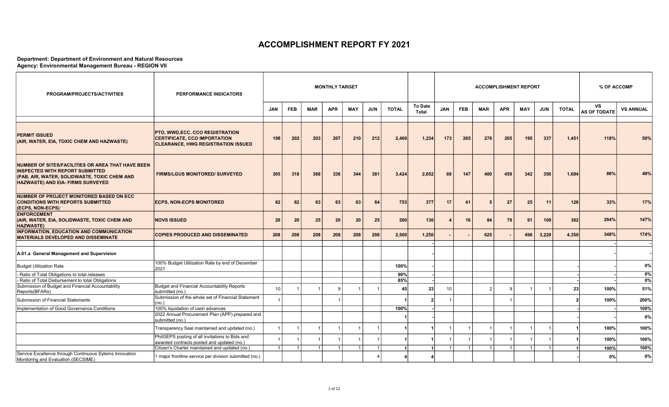## ACCOMPLISHMENT REPORT FY 2021

## Department: Department of Environment and Natural Resources Agency: Environmental Management Bureau - REGION VII

| <b>PROGRAM/PROJECTS/ACTIVITIES</b>                                                                                                                                                      | <b>PERFORMANCE INDICATORS</b>                                                                                       | <b>MONTHLY TARGET</b><br><b>To Date</b> |            |            |            |                |            |              |                      |            |            | <b>ACCOMPLISHMENT REPORT</b> |            |                |            | % OF ACCOMP  |                           |                  |
|-----------------------------------------------------------------------------------------------------------------------------------------------------------------------------------------|---------------------------------------------------------------------------------------------------------------------|-----------------------------------------|------------|------------|------------|----------------|------------|--------------|----------------------|------------|------------|------------------------------|------------|----------------|------------|--------------|---------------------------|------------------|
|                                                                                                                                                                                         |                                                                                                                     | <b>JAN</b>                              | <b>FEB</b> | <b>MAR</b> | <b>APR</b> | <b>MAY</b>     | <b>JUN</b> | <b>TOTAL</b> | <b>Total</b>         | <b>JAN</b> | <b>FEB</b> | <b>MAR</b>                   | <b>APR</b> | <b>MAY</b>     | <b>JUN</b> | <b>TOTAL</b> | VS<br><b>AS OF TODATE</b> | <b>VS ANNUAL</b> |
|                                                                                                                                                                                         |                                                                                                                     |                                         |            |            |            |                |            |              |                      |            |            |                              |            |                |            |              |                           |                  |
| <b>PERMIT ISSUED</b><br>(AIR, WATER, EIA, TOXIC CHEM AND HAZWASTE)                                                                                                                      | PTO, WWD, ECC, CCO REGISTRATION<br><b>CERTIFICATE, CCO IMPORTATION</b><br><b>CLEARANCE, HWG REGISTRATION ISSUED</b> | 198                                     | 202        | 203        | 207        | 210            | 212        | 2,469        | 1,234                | 173        | 265        | 276                          | 205        | 195            | 337        | 1,451        | 118%                      | 59%              |
| NUMBER OF SITES/FACILITIES OR AREA THAT HAVE BEEN<br><b>INSPECTED WITH REPORT SUBMITTED</b><br>(PAB, AIR, WATER, SOLIDWASTE, TOXIC CHEM AND<br><b>HAZWASTE) AND EIA- FIRMS SURVEYED</b> | <b>FIRMS/LGUS MONITORED/ SURVEYED</b>                                                                               | 305                                     | 318        | 368        | 336        | 344            | 381        | 3,424        | 2,052                | 69         | 147        | 400                          | 459        | 342            | 350        | 1,694        | 86%                       | 49%              |
| NUMBER OF PROJECT MONITORED BASED ON ECC<br><b>CONDITIONS WITH REPORTS SUBMITTED</b><br>(ECPS, NON-ECPS)                                                                                | <b>ECPS, NON-ECPS MONITORED</b>                                                                                     | 62                                      | 62         | 63         | 63         | 63             | 64         | 753          | 377                  | 17         | 41         | 5                            | 27         | 25             | 11         | 126          | 33%                       | 17%              |
| <b>ENFORCEMENT</b><br>(AIR, WATER, EIA, SOLIDWASTE, TOXIC CHEM AND<br><b>HAZWASTE)</b>                                                                                                  | <b>NOVS ISSUED</b>                                                                                                  | 20                                      | 20         | 25         | 20         | 20             | 25         | 260          | 130                  |            | 16         | 84                           | 79         | 91             | 108        | 382          | 294%                      | 147%             |
| <b>INFORMATION, EDUCATION AND COMMUNICATION</b><br><b>MATERIALS DEVELOPED AND DISSEMINATE</b>                                                                                           | <b>COPIES PRODUCED AND DISSEMINATED</b>                                                                             | 208                                     | 208        | 208        | 208        | 208            | 208        | 2,500        | 1,250                |            |            | 625                          |            | 496            | 3,229      | 4,350        | 348%                      | 174%             |
| A.01.a General Management and Supervision                                                                                                                                               |                                                                                                                     |                                         |            |            |            |                |            |              |                      |            |            |                              |            |                |            |              |                           |                  |
| <b>Budget Utilization Rate</b>                                                                                                                                                          | 100% Budget Utilization Rate by end of December<br>2021                                                             |                                         |            |            |            |                |            | 100%         |                      |            |            |                              |            |                |            |              |                           | 0%               |
| - Ratio of Total Obligations to total releases                                                                                                                                          |                                                                                                                     |                                         |            |            |            |                |            | 90%          |                      |            |            |                              |            |                |            |              |                           | $0\%$            |
| - Ratio of Total Disbursement to total Obligations<br>Submission of Budget and Financial Accountability                                                                                 | Budget and Financial Accountability Reports                                                                         |                                         |            |            |            |                |            | 85%          |                      |            |            |                              |            |                |            |              |                           | 0%               |
| Reports(BFARs)                                                                                                                                                                          | submitted (no.)                                                                                                     | 10                                      |            |            |            |                |            | 45           | 23                   | 10         |            | $\overline{2}$               | <b>q</b>   |                |            | 23           | 100%                      | 51%              |
| Submission of Financial Statements                                                                                                                                                      | Submission of the whole set of Financial Statement<br>(no.)                                                         |                                         |            |            |            |                |            |              | $\overline{2}$       |            |            |                              |            |                |            |              | 100%                      | 200%             |
| Implementation of Good Governance Conditions                                                                                                                                            | 100% liquidation of cash advances                                                                                   |                                         |            |            |            |                |            | 100%         |                      |            |            |                              |            |                |            |              |                           | 100%             |
|                                                                                                                                                                                         | 2022 Annual Procurement Plan (APP) prepared and<br>submitted (no.)                                                  |                                         |            |            |            |                |            |              |                      |            |            |                              |            |                |            |              |                           | 0%               |
|                                                                                                                                                                                         | Transparency Seal maintained and updated (no.)                                                                      |                                         |            |            |            |                |            |              |                      |            |            |                              |            |                |            |              | 100%                      | 100%             |
|                                                                                                                                                                                         | PhilGEPS posting of all invitations to Bids and<br>awarded contracts posted and updated (no.)                       |                                         |            |            |            |                |            |              |                      |            |            | -1                           |            |                |            |              | 100%                      | 100%             |
|                                                                                                                                                                                         | Citizen's Charter maintained and updated (no.)                                                                      |                                         | 1          | 11         |            | $\overline{1}$ | $\vert$ 1  |              | $\blacktriangleleft$ |            | $\vert$ 1  | $\overline{1}$               |            | $\overline{1}$ |            |              | 100%                      | 100%             |
| Service Excellence through Continuous Sytems Innovation<br>Monitoring and Evaluation (SECSIME)                                                                                          | 1 major frontline service per division submitted (no.)                                                              |                                         |            |            |            |                |            |              |                      |            |            |                              |            |                |            |              | 0%                        | 0%               |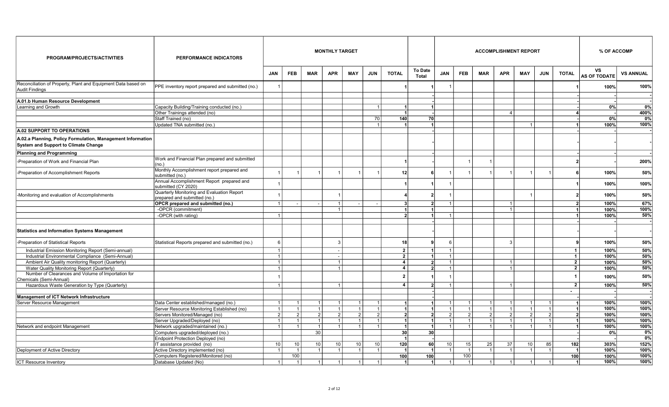| PROGRAM/PROJECTS/ACTIVITIES                                                                                                  | PERFORMANCE INDICATORS                                                     |                                  |                |                | <b>MONTHLY TARGET</b>    |                 |                |                                           |                                |                |                |               | <b>ACCOMPLISHMENT REPORT</b> |                         |                      |                |                                  | % OF ACCOMP      |
|------------------------------------------------------------------------------------------------------------------------------|----------------------------------------------------------------------------|----------------------------------|----------------|----------------|--------------------------|-----------------|----------------|-------------------------------------------|--------------------------------|----------------|----------------|---------------|------------------------------|-------------------------|----------------------|----------------|----------------------------------|------------------|
|                                                                                                                              |                                                                            | <b>JAN</b>                       | <b>FEB</b>     | <b>MAR</b>     | <b>APR</b>               | <b>MAY</b>      | <b>JUN</b>     | <b>TOTAL</b>                              | <b>To Date</b><br>Total        | <b>JAN</b>     | <b>FEB</b>     | <b>MAR</b>    | <b>APR</b>                   | <b>MAY</b>              | <b>JUN</b>           | <b>TOTAL</b>   | <b>VS</b><br><b>AS OF TODATE</b> | <b>VS ANNUAL</b> |
| Reconciliation of Property, Plant and Equipment Data based on<br>Audit Findings                                              | PPE inventory report prepared and submitted (no.)                          |                                  |                |                |                          |                 |                |                                           |                                |                |                |               |                              |                         |                      |                | 100%                             | 100%             |
| A.01.b Human Resource Development                                                                                            |                                                                            |                                  |                |                |                          |                 |                |                                           |                                |                |                |               |                              |                         |                      |                |                                  |                  |
| Learning and Growth                                                                                                          | Capacity Building/Training conducted (no.)                                 |                                  |                |                |                          |                 |                |                                           |                                |                |                |               |                              |                         |                      |                | 0%                               | 0%               |
|                                                                                                                              | Other Trainings attended (no)                                              |                                  |                |                |                          |                 |                |                                           |                                |                |                |               | $\overline{4}$               |                         |                      |                |                                  | 400%             |
|                                                                                                                              | Staff Trained (no)                                                         |                                  |                |                |                          |                 | 70             | 140                                       | 70 I                           |                |                |               |                              |                         |                      |                | 0%                               | 0%               |
|                                                                                                                              | Updated TNA submitted (no.)                                                |                                  |                |                |                          |                 |                |                                           | 1                              |                |                |               |                              | -1                      |                      |                | 100%                             | 100%             |
| A.02 SUPPORT TO OPERATIONS                                                                                                   |                                                                            |                                  |                |                |                          |                 |                |                                           |                                |                |                |               |                              |                         |                      |                |                                  |                  |
| A.02.a Planning, Policy Formulation, Management Information<br><b>System and Support to Climate Change</b>                   |                                                                            |                                  |                |                |                          |                 |                |                                           |                                |                |                |               |                              |                         |                      |                |                                  |                  |
| Planning and Programming                                                                                                     |                                                                            |                                  |                |                |                          |                 |                |                                           |                                |                |                |               |                              |                         |                      |                |                                  |                  |
| -Preparation of Work and Financial Plan                                                                                      | Work and Financial Plan prepared and submitted<br>(no.)                    |                                  |                |                |                          |                 |                |                                           |                                |                |                |               |                              |                         |                      |                |                                  | 200%             |
| -Preparation of Accomplishment Reports                                                                                       | Monthly Accomplishment report prepared and<br>submitted (no.)              |                                  |                |                |                          |                 |                | 12                                        |                                |                |                |               |                              | $\overline{\mathbf{1}}$ |                      |                | 100%                             | 50%              |
|                                                                                                                              | Annual Accomplishment Report prepared and<br>submitted (CY 2020)           |                                  |                |                |                          |                 |                |                                           |                                |                |                |               |                              |                         |                      |                | 100%                             | 100%             |
| -Monitoring and evaluation of Accomplishments                                                                                | Quarterly Monitoring and Evaluation Report<br>prepared and submitted (no.) |                                  |                |                |                          |                 |                |                                           | 2                              |                |                |               |                              | -1                      |                      |                | 100%                             | 50%              |
|                                                                                                                              | OPCR prepared and submitted (no.)                                          |                                  |                |                | $\overline{1}$           |                 |                |                                           | $\overline{2}$                 |                |                |               |                              |                         |                      | $\overline{2}$ | 100%                             | 67%              |
|                                                                                                                              | -OPCR (commitment)                                                         | $\overline{1}$                   |                |                | $\overline{1}$           |                 |                |                                           |                                | $\overline{1}$ |                |               | $\overline{1}$               |                         |                      |                | 100%                             | 100%             |
|                                                                                                                              | -OPCR (with rating)                                                        |                                  |                |                |                          |                 |                |                                           | 1 I                            |                |                |               |                              |                         |                      | -11            | 100%                             | 50%              |
| <b>Statistics and Information Systems Management</b>                                                                         |                                                                            |                                  |                |                |                          |                 |                |                                           |                                |                |                |               |                              |                         |                      |                |                                  |                  |
| -Preparation of Statistical Reports                                                                                          | Statistical Reports prepared and submitted (no.)                           | 6                                |                |                | 3                        |                 |                | 18                                        | 9                              | 6              |                |               | $\mathbf{3}$                 |                         |                      |                | 100%                             | 50%              |
| Industrial Emission Monitoring Report (Semi-annual)                                                                          |                                                                            | $\overline{1}$                   |                |                | $\overline{\phantom{a}}$ |                 |                | $\overline{2}$                            | 1                              | -1             |                |               |                              |                         |                      | 1 <sup>1</sup> | 100%                             | 50%              |
| Industrial Environmental Compliance (Semi-Annual)                                                                            |                                                                            | $\mathbf 1$                      |                |                |                          |                 |                | $\overline{2}$                            |                                |                |                |               |                              |                         |                      | $\mathbf{1}$   | 100%                             | 50%              |
| Ambient Air Quality monitoring Report (Quarterly)                                                                            |                                                                            | $\overline{1}$<br>$\overline{1}$ |                |                | $\overline{1}$           |                 |                | $\overline{4}$<br>$\overline{\mathbf{4}}$ | $\overline{2}$<br>$\mathbf{v}$ | $\overline{1}$ |                |               | $\overline{1}$               |                         |                      | $\overline{2}$ | 100%                             | 50%              |
| Water Quality Monitoring Report (Quarterly)<br>Number of Clearances and Volume of Importation for<br>Chemicals (Semi-Annual) |                                                                            |                                  |                |                | 1                        |                 |                | $\overline{2}$                            |                                |                |                |               |                              |                         |                      | $\mathbf{2}$   | 100%<br>100%                     | 50%<br>50%       |
| Hazardous Waste Generation by Type (Quarterly)                                                                               |                                                                            | $\mathbf 1$                      |                |                | $\overline{1}$           |                 |                | $\overline{4}$                            | $\overline{2}$                 |                |                |               | $\overline{1}$               |                         |                      | $\overline{2}$ | 100%                             | 50%              |
|                                                                                                                              |                                                                            |                                  |                |                |                          |                 |                |                                           |                                |                |                |               |                              |                         |                      | $\sim$         |                                  |                  |
| Management of ICT Network Infrastructure<br>Server Resource Management                                                       | Data Center established/managed (no.)                                      | $\overline{1}$                   | $\overline{1}$ |                | $\overline{1}$           | $\mathbf{1}$    | -1             | -1                                        |                                | -1             | $\overline{1}$ |               | $\overline{1}$               | $\mathbf 1$             | $\mathbf{1}$         |                | 100%                             | 100%             |
|                                                                                                                              | Server Resource Monitoring Established (no)                                |                                  | $\overline{1}$ |                | $\blacktriangleleft$     | $\overline{1}$  |                |                                           |                                |                |                |               |                              | $\overline{1}$          |                      |                | 100%                             | 100%             |
|                                                                                                                              | Servers Monitored/Managed (no)                                             | 2 <sup>1</sup>                   | $\overline{2}$ | $\overline{2}$ | 2                        | 2               | $\overline{2}$ |                                           | 21                             | $\overline{2}$ | 2 <sup>1</sup> | $\mathcal{P}$ | 2                            | 2                       | 2 <sup>1</sup>       | 2I             | 100%                             | 100%             |
|                                                                                                                              | Server Upgraded/Deployed (no)                                              | $\overline{1}$                   | $\overline{1}$ | $\overline{1}$ | 1                        | $\overline{1}$  | $\overline{1}$ | -1                                        | 1                              | $\overline{1}$ | $\overline{1}$ |               | $\overline{1}$               | $\mathbf{1}$            | 11                   | 11             | 100%                             | 100%             |
| Network and endpoint Management                                                                                              | Network upgraded/maintained (no.)                                          |                                  |                | $\overline{1}$ | $\overline{1}$           |                 |                |                                           |                                |                |                |               |                              |                         | $\blacktriangleleft$ |                | 100%                             | 100%             |
|                                                                                                                              | Computers upgraded/deployed (no.)                                          |                                  |                | 30             |                          |                 |                | 30 <sup>1</sup>                           | 30 <sup>l</sup>                |                |                |               |                              |                         |                      |                | 0%                               | 0%               |
|                                                                                                                              | Endpoint Protection Deployed (no)                                          |                                  |                |                |                          |                 |                | - 1                                       |                                |                |                |               |                              |                         |                      |                |                                  | 0%               |
|                                                                                                                              | IT assistance provided (no)                                                | 10                               | 10             | 10             | 10 <sup>1</sup>          | 10 <sup>°</sup> | 10             | 120                                       | 60                             | 10             | 15             | 25            | $\overline{37}$              | 10                      | 85                   | 182            | 303%                             | 152%             |
| Deployment of Active Directory                                                                                               | Active Directory implemented (no)                                          |                                  | $\overline{1}$ |                | $\overline{1}$           | $\overline{1}$  |                |                                           |                                |                | $\overline{1}$ |               | $\overline{1}$               | -1                      | 1                    |                | 100%                             | 100%             |
|                                                                                                                              | Computers Registered/Monitored (no)                                        |                                  | 100            |                |                          |                 |                | 100                                       | 100                            |                | 100            |               |                              |                         |                      | 100            | 100%                             | 100%             |
| ICT Resource Inventory                                                                                                       | Database Updated (No)                                                      | $\overline{1}$                   | $\overline{1}$ | $\mathbf{1}$   | $\overline{1}$           | $\overline{1}$  |                | -1                                        | $\mathbf{1}$                   |                | $\overline{1}$ |               | $\overline{1}$               | -1                      | 1                    |                | 100%                             | 100%             |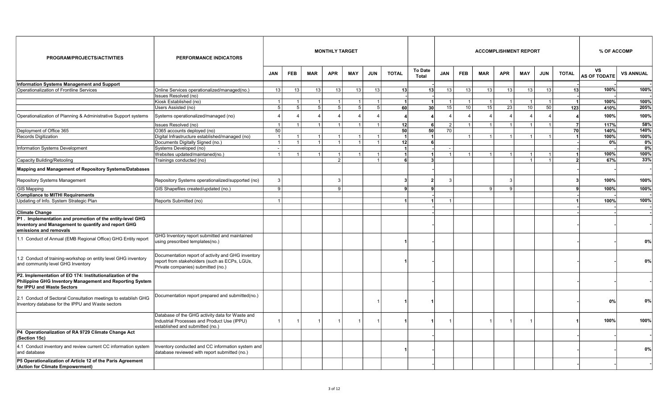| PROGRAM/PROJECTS/ACTIVITIES                                                                                                                         | <b>PERFORMANCE INDICATORS</b>                                                                                                             | <b>MONTHLY TARGET</b> |                |                |                |                |                |                 |                         |                |                 |                |                | <b>ACCOMPLISHMENT REPORT</b> |            |              | % OF ACCOMP               |                  |
|-----------------------------------------------------------------------------------------------------------------------------------------------------|-------------------------------------------------------------------------------------------------------------------------------------------|-----------------------|----------------|----------------|----------------|----------------|----------------|-----------------|-------------------------|----------------|-----------------|----------------|----------------|------------------------------|------------|--------------|---------------------------|------------------|
|                                                                                                                                                     |                                                                                                                                           | <b>JAN</b>            | <b>FEB</b>     | <b>MAR</b>     | <b>APR</b>     | <b>MAY</b>     | <b>JUN</b>     | <b>TOTAL</b>    | <b>To Date</b><br>Total | JAN            | <b>FEB</b>      | <b>MAR</b>     | <b>APR</b>     | <b>MAY</b>                   | <b>JUN</b> | <b>TOTAL</b> | VS<br><b>AS OF TODATE</b> | <b>VS ANNUAL</b> |
| Information Systems Management and Support                                                                                                          |                                                                                                                                           |                       |                |                |                |                |                |                 |                         |                |                 |                |                |                              |            |              |                           |                  |
| Operationalization of Frontline Services                                                                                                            | Online Services operationalized/managed(no.)                                                                                              | 13                    | 13             | 13             | 13             | 13             | 13             | 13              | 13                      | 13             | 13              | 13             | 13             | 13                           | 13         | 13           | 100%                      | 100%             |
|                                                                                                                                                     | Issues Resolved (no)                                                                                                                      |                       |                |                |                |                |                |                 |                         |                |                 |                |                |                              |            |              |                           |                  |
|                                                                                                                                                     | Kiosk Established (no)                                                                                                                    | $\overline{1}$        | $\overline{1}$ | $\overline{1}$ | $\mathbf{1}$   | $\overline{1}$ |                |                 |                         | 1              | $\overline{1}$  | $\overline{1}$ | $\overline{1}$ | $\overline{1}$               |            |              | 100%                      | 100%             |
|                                                                                                                                                     | Users Assisted (no)                                                                                                                       | 5                     | 5              | 5              | 5 <sup>1</sup> | 5 <sup>1</sup> | -5             | 60              | 30 <sup>1</sup>         | 15             | 10 <sup>1</sup> | 15             | 23             | 10 <sup>1</sup>              | 50         | 123          | 410%                      | 205%             |
| Operationalization of Planning & Administrative Support systems                                                                                     | Systems operationalized/managed (no)                                                                                                      |                       |                |                | $\Delta$       |                |                |                 |                         |                |                 |                |                | 4                            |            |              | 100%                      | 100%             |
|                                                                                                                                                     | Issues Resolved (no)                                                                                                                      | $\overline{1}$        | $\overline{1}$ |                | $\mathbf{1}$   |                |                | 12              |                         | 2              | $\overline{1}$  | $\overline{1}$ |                | $\overline{1}$               |            |              | 117%                      | 58%              |
| Deployment of Office 365                                                                                                                            | O365 accounts deployed (no)                                                                                                               | 50                    |                |                |                |                |                | 50              | 50 <sup>1</sup>         | 70             |                 |                |                |                              |            | 70           | 140%                      | 140%             |
| Records Digitization                                                                                                                                | Digital Infrastructure established/managed (no)                                                                                           |                       |                |                |                |                |                |                 |                         |                |                 |                |                | $\overline{1}$               |            |              | 100%                      | 100%             |
|                                                                                                                                                     | Documents Digitally Signed (no.)                                                                                                          |                       | $\overline{1}$ |                | $\mathbf{1}$   | $\overline{1}$ |                | 12 <sup>1</sup> |                         |                |                 |                |                |                              |            |              | 0%                        | $0\%$            |
| Information Systems Development                                                                                                                     | Systems Developed (no)                                                                                                                    |                       |                |                |                |                |                | -1              |                         |                |                 |                |                |                              |            |              |                           | 0%               |
|                                                                                                                                                     | Websites updated/maintaned(no.)                                                                                                           |                       |                |                |                |                |                |                 |                         | $\overline{1}$ |                 |                |                | $\overline{1}$               |            |              | 100%                      | 100%             |
| Capacity Building/Retooling                                                                                                                         | Trainings conducted (no)                                                                                                                  |                       |                |                | $\overline{2}$ |                |                |                 | 3                       |                |                 |                |                | 1                            |            | <sup>2</sup> | 67%                       | 33%              |
| Mapping and Management of Repository Systems/Databases                                                                                              |                                                                                                                                           |                       |                |                |                |                |                |                 |                         |                |                 |                |                |                              |            |              |                           |                  |
| Repository Systems Management                                                                                                                       | Repository Systems operationalized/supported (no)                                                                                         |                       |                |                | 3              |                |                |                 |                         | 3              |                 |                | 3              |                              |            |              | 100%                      | 100%             |
| <b>GIS Mapping</b>                                                                                                                                  | GIS Shapefiles created/updated (no.)                                                                                                      | 9                     |                |                | 9              |                |                |                 |                         |                |                 | q              | 9              |                              |            |              | 100%                      | 100%             |
| <b>Compliance to MITHI Requirements</b>                                                                                                             |                                                                                                                                           |                       |                |                |                |                |                |                 |                         |                |                 |                |                |                              |            |              |                           |                  |
| Updating of Info. System Strategic Plan                                                                                                             | Reports Submitted (no)                                                                                                                    |                       |                |                |                |                |                |                 |                         | 1              |                 |                |                |                              |            |              | 100%                      | 100%             |
|                                                                                                                                                     |                                                                                                                                           |                       |                |                |                |                |                |                 |                         |                |                 |                |                |                              |            |              |                           |                  |
| <b>Climate Change</b>                                                                                                                               |                                                                                                                                           |                       |                |                |                |                |                |                 |                         |                |                 |                |                |                              |            |              |                           |                  |
| P1. Implementation and promotion of the entity-level GHG<br>Inventory and Management to quantify and report GHG<br>emissions and removals           |                                                                                                                                           |                       |                |                |                |                |                |                 |                         |                |                 |                |                |                              |            |              |                           |                  |
| 1.1 Conduct of Annual (EMB Regional Office) GHG Entity report                                                                                       | GHG Inventory report submitted and maintained<br>using prescribed templates(no.)                                                          |                       |                |                |                |                |                |                 |                         |                |                 |                |                |                              |            |              |                           | 0%               |
| 1.2 Conduct of training-workshop on entity level GHG inventory<br>and community level GHG Inventory                                                 | Documentation report of activity and GHG inventory<br>report from stakeholders (such as ECPs, LGUs,<br>Private companies) submitted (no.) |                       |                |                |                |                |                |                 |                         |                |                 |                |                |                              |            |              |                           | 0%               |
| P2. Implementation of EO 174: Institutionalization of the<br>Philippine GHG Inventory Management and Reporting System<br>for IPPU and Waste Sectors |                                                                                                                                           |                       |                |                |                |                |                |                 |                         |                |                 |                |                |                              |            |              |                           |                  |
| 2.1 Conduct of Sectoral Consultation meetings to establish GHG<br>Inventory database for the IPPU and Waste sectors                                 | Documentation report prepared and submitted(no.)                                                                                          |                       |                |                |                |                |                |                 |                         |                |                 |                |                |                              |            |              | 0%                        | 0%               |
|                                                                                                                                                     | Database of the GHG activity data for Waste and<br>Industrial Processes and Product Use (IPPU)<br>established and submitted (no.)         |                       | $\overline{1}$ | $\overline{1}$ | $\mathbf{1}$   |                | $\overline{1}$ |                 |                         |                |                 | 1              | $\overline{1}$ | $\overline{1}$               |            |              | 100%                      | 100%             |
| P4 Operationalization of RA 9729 Climate Change Act<br>(Section 15c)                                                                                |                                                                                                                                           |                       |                |                |                |                |                |                 |                         |                |                 |                |                |                              |            |              |                           |                  |
| 4.1 Conduct inventory and review current CC information system<br>and database                                                                      | Inventory conducted and CC information system and<br>database reviewed with report submitted (no.)                                        |                       |                |                |                |                |                |                 |                         |                |                 |                |                |                              |            |              |                           | 0%               |
| P5 Operationalization of Article 12 of the Paris Agreement<br>(Action for Climate Empowerment)                                                      |                                                                                                                                           |                       |                |                |                |                |                |                 |                         |                |                 |                |                |                              |            |              |                           |                  |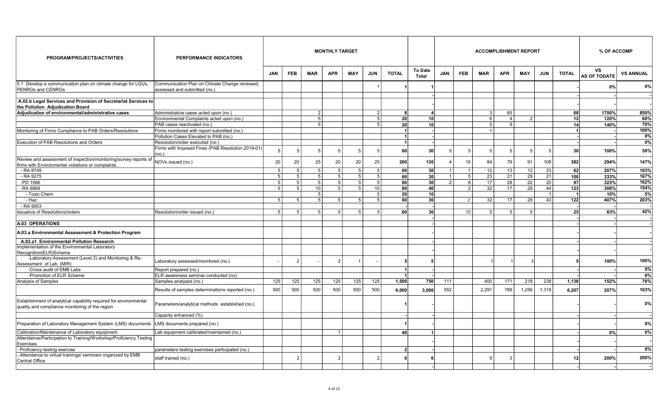| PROGRAM/PROJECTS/ACTIVITIES                                                                                            | PERFORMANCE INDICATORS                                                         |                |                 |                | <b>MONTHLY TARGET</b> |                |                |              |                         |                |                 |                   | <b>ACCOMPLISHMENT REPORT</b> |                 |            |                  | % OF ACCOMP               |                  |
|------------------------------------------------------------------------------------------------------------------------|--------------------------------------------------------------------------------|----------------|-----------------|----------------|-----------------------|----------------|----------------|--------------|-------------------------|----------------|-----------------|-------------------|------------------------------|-----------------|------------|------------------|---------------------------|------------------|
|                                                                                                                        |                                                                                | <b>JAN</b>     | <b>FEB</b>      | <b>MAR</b>     | <b>APR</b>            | <b>MAY</b>     | <b>JUN</b>     | <b>TOTAL</b> | <b>To Date</b><br>Total | <b>JAN</b>     | <b>FEB</b>      | <b>MAR</b>        | <b>APR</b>                   | <b>MAY</b>      | <b>JUN</b> | <b>TOTAL</b>     | VS<br><b>AS OF TODATE</b> | <b>VS ANNUAL</b> |
| 5.1 Develop a communication plan on climate change for LGUs,<br><b>IPENROs and CENROs</b>                              | Communication Plan on Climate Change reviewed,<br>assessed and submitted (no.) |                |                 |                |                       |                |                |              |                         |                |                 |                   |                              |                 |            |                  | 0%                        | 0%               |
| A.02.b Legal Services and Provision of Secretariat Services to<br>the Pollution Adjudication Board                     |                                                                                |                |                 |                |                       |                |                |              |                         |                |                 |                   |                              |                 |            |                  |                           |                  |
| Adjudication of environmental/administrative cases                                                                     | Administrative cases acted upon (no.)                                          |                |                 | 2              |                       |                | $\overline{2}$ | -8           | $\Delta$                |                |                 | $\lceil 3 \rceil$ | 65                           |                 |            | 68               | 1700%                     | 850%             |
|                                                                                                                        | Environmental Complaints acted upon (no.)                                      |                |                 | -5             |                       |                | 5              | 20           | 10 <sup>1</sup>         |                |                 | $6\overline{6}$   | $\overline{4}$               | $\overline{2}$  |            | 12               | 120%                      | 60%              |
|                                                                                                                        | PAB cases reactivated (no.)                                                    |                |                 | 5              |                       |                | 5              | 20           | 10 <sup>1</sup>         |                |                 | 5                 | 9                            |                 |            | 14               | 140%                      | 70%              |
| Monitoring of Firms Compliance to PAB Orders/Resolutions                                                               | Firms monitored with report submitted (no.)                                    |                |                 |                |                       |                |                | -1           |                         |                |                 | $\overline{1}$    |                              |                 |            |                  |                           | 100%             |
|                                                                                                                        | Pollution Cases Elevated to PAB (no.)                                          |                |                 |                |                       |                |                |              |                         |                |                 |                   |                              |                 |            |                  |                           | 0%               |
| Execution of PAB Resolutions and Orders                                                                                | Resolution/order executed (no.)                                                |                |                 |                |                       |                |                |              |                         |                |                 |                   |                              |                 |            |                  |                           | 0%               |
|                                                                                                                        | Firms with Imposed Fines (PAB Resolution 2019-01)                              |                | 5               | -5             | 5                     | -5             | 5              | 60           | 30                      | 5              | 5               | 5                 | -5                           | $5\overline{)}$ |            | 30               | 100%                      | 50%              |
| Review and assessment of inspection/monitoring/survey reports of<br>firms with Environmental violations or complaints. | (no.)<br>NOVs issued (no.)                                                     | 20             | 20              | 25             | 20                    | 20             | 25             | 260          | 130                     |                | 16              | 84                | 79                           | 91              | 108        | 382              | 294%                      | 147%             |
| - RA 8749                                                                                                              |                                                                                | 5              | $5\phantom{.0}$ | 5              | 5 <sub>5</sub>        | 5 <sup>1</sup> | -5             | 60           | 30                      | $\mathbf{1}$   | $\overline{1}$  | 12                | 13                           | 12              | 23         | 62               | 207%                      | 103%             |
| - RA 9275                                                                                                              |                                                                                | 5              | $5\phantom{.0}$ | 5              | $5\phantom{.0}$       | 5 <sup>1</sup> | 5              | 60           | 30 <sup>1</sup>         | $\overline{1}$ | 5               | 23                | 21                           | 29              | 21         | 100              | 333%                      | 167%             |
| -PD 1586                                                                                                               |                                                                                | 5              | 5               | 5              | 5 <sub>5</sub>        | 5 <sup>1</sup> | 5              | 60           | 30                      | $\mathfrak{p}$ | $\mathsf{R}$    | 17                | 28                           | 22              | 20         | 97               | 323%                      | 162%             |
| -RA 6969                                                                                                               |                                                                                | 5 <sup>5</sup> | 5               | 10             | 5 <sup>5</sup>        | 5 <sup>1</sup> | 10             | 80           | 40                      |                | 2 <sup>1</sup>  | 32                | 17                           | 28              | 44         | $\overline{123}$ | 308%                      | 154%             |
| - Toxic Chem                                                                                                           |                                                                                |                |                 | 5              |                       |                | .5             | 20           | 10 <sup>1</sup>         |                |                 |                   |                              |                 |            |                  | 10%                       | 5%               |
| - Haz                                                                                                                  |                                                                                | 5              | 5               | $\overline{5}$ | 5 <sup>1</sup>        | 5 <sup>1</sup> | 5              | 60           | 30 <sup>1</sup>         |                | $\overline{c}$  | 32                | 17                           | 28              | 43         | 122              | 407%                      | 203%             |
| - RA 9003                                                                                                              |                                                                                |                |                 |                |                       |                |                |              |                         |                |                 |                   |                              |                 |            |                  |                           |                  |
| Issuance of Resolutions/orders                                                                                         | Resolution/order issued (no.)                                                  | 5              | 5               | 5              | 5                     | 5              |                | 60           | 30 <sup>1</sup>         |                | 10 <sup>1</sup> |                   | $5\overline{5}$              | 5               |            | 25               | 83%                       | 42%              |
|                                                                                                                        |                                                                                |                |                 |                |                       |                |                |              |                         |                |                 |                   |                              |                 |            |                  |                           |                  |
| A.03 OPERATIONS                                                                                                        |                                                                                |                |                 |                |                       |                |                |              |                         |                |                 |                   |                              |                 |            |                  |                           |                  |
| A.03.a Environmental Assessment & Protection Program                                                                   |                                                                                |                |                 |                |                       |                |                |              |                         |                |                 |                   |                              |                 |            |                  |                           |                  |
| A.03.a1 Environmental Pollution Research                                                                               |                                                                                |                |                 |                |                       |                |                |              |                         |                |                 |                   |                              |                 |            |                  |                           |                  |
| Implementation of the Environmental Laboratory<br>Recognition(ELR)Scheme                                               |                                                                                |                |                 |                |                       |                |                |              |                         |                |                 |                   |                              |                 |            |                  |                           |                  |
| -Laboratory Assessment (Level 2) and Monitoring & Re-<br>Assessment of Lab. (M/R)                                      | Laboratory assessed/monitored (no.)                                            |                | $\overline{2}$  |                | $\overline{2}$        |                |                |              |                         |                |                 |                   |                              | 3               |            |                  | 100%                      | 100%             |
| -Cross audit of EMB Labs                                                                                               | Report prepared (no.)                                                          |                |                 |                |                       |                |                |              |                         |                |                 |                   |                              |                 |            |                  |                           | 0%               |
| -Promotion of ELR Scheme                                                                                               | ELR awareness seminar conducted (no)                                           |                |                 |                |                       |                |                |              |                         |                |                 |                   |                              |                 |            |                  |                           | $0\%$            |
| Analysis of Samples                                                                                                    | Samples analyzed (no.)                                                         | 125            | 125             | 125            | 125                   | 125            | 125            | 1,500        | 750                     | 111            |                 | 400               | 171                          | 218             | 238        | 1,138            | 152%                      | 76%              |
|                                                                                                                        | Results of samples determinations reported (no.)                               | 500            | 500             | 500            | 500                   | 500            | 500            | 6,000        | 3,000                   | 552            |                 | 2,291             | 789                          | 1,256           | 1,319      | 6.207            | 207%                      | 103%             |
| Establishment of analytical capability required for environmental<br>quality and compliance monitoring of the region   | Parameters/analytical methods established (no.)                                |                |                 |                |                       |                |                |              |                         |                |                 |                   |                              |                 |            |                  |                           | 0%               |
|                                                                                                                        | Capacity enhanced (%)                                                          |                |                 |                |                       |                |                |              |                         |                |                 |                   |                              |                 |            |                  |                           |                  |
| Preparation of Laboratory Management System (LMS) documents                                                            | LMS documents prepared (no.)                                                   |                |                 |                |                       |                |                |              |                         |                |                 |                   |                              |                 |            |                  |                           | $0\%$            |
| Calibration/Maintenance of Laboratory equipment                                                                        | Lab equipment calibrated/maintained (no.)                                      |                |                 |                |                       |                |                | 40           |                         |                |                 |                   |                              |                 |            |                  | 0%                        | $0\%$            |
| Attendance/Participation to Training/Workshop/Proficiency Testing<br>Exercises                                         |                                                                                |                |                 |                |                       |                |                |              |                         |                |                 |                   |                              |                 |            |                  |                           |                  |
| - Proficiency testing exercise                                                                                         | parameters testing exercises participated (no.)                                |                |                 |                |                       |                |                |              |                         |                |                 |                   |                              |                 |            |                  |                           | $0\%$            |
| - Attendance to virtual trainings/ seminars organized by EMB<br>lCentral Office                                        | staff trained (no.)                                                            |                | $\overline{2}$  |                | $\overline{2}$        |                | $\overline{2}$ |              |                         |                |                 | c                 | 3                            |                 |            | 12               | 200%                      | 200%             |
|                                                                                                                        |                                                                                |                |                 |                |                       |                |                |              |                         |                |                 |                   |                              |                 |            |                  |                           |                  |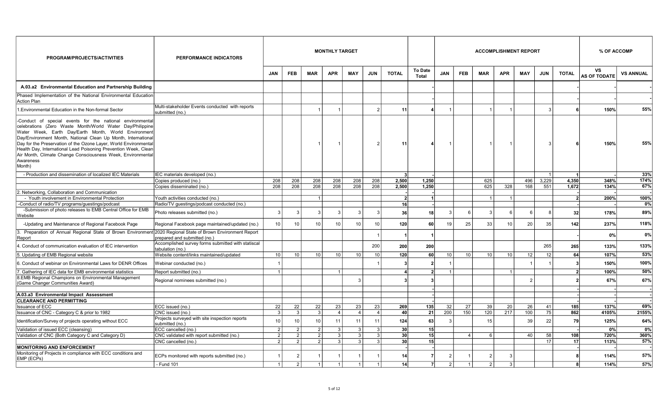| PROGRAM/PROJECTS/ACTIVITIES                                                                                                                                                                                                                                                                                                                                                                                                                                                  | <b>PERFORMANCE INDICATORS</b>                                                   | <b>MONTHLY TARGET</b><br><b>ACCOMPLISHMENT REPORT</b> |                                  |                                 |                      |                      |                      |                                    |                                |            |                 |            |                 | % OF ACCOMP |                |                        |                           |                  |
|------------------------------------------------------------------------------------------------------------------------------------------------------------------------------------------------------------------------------------------------------------------------------------------------------------------------------------------------------------------------------------------------------------------------------------------------------------------------------|---------------------------------------------------------------------------------|-------------------------------------------------------|----------------------------------|---------------------------------|----------------------|----------------------|----------------------|------------------------------------|--------------------------------|------------|-----------------|------------|-----------------|-------------|----------------|------------------------|---------------------------|------------------|
|                                                                                                                                                                                                                                                                                                                                                                                                                                                                              |                                                                                 | <b>JAN</b>                                            | <b>FEB</b>                       | <b>MAR</b>                      | <b>APR</b>           | <b>MAY</b>           | <b>JUN</b>           | <b>TOTAL</b>                       | <b>To Date</b><br><b>Total</b> | <b>JAN</b> | <b>FEB</b>      | <b>MAR</b> | <b>APR</b>      | <b>MAY</b>  | <b>JUN</b>     | <b>TOTAL</b>           | ٧S<br><b>AS OF TODATE</b> | <b>VS ANNUAL</b> |
| A.03.a2 Environmental Education and Partnership Building                                                                                                                                                                                                                                                                                                                                                                                                                     |                                                                                 |                                                       |                                  |                                 |                      |                      |                      |                                    |                                |            |                 |            |                 |             |                |                        |                           |                  |
| Phased Implementation of the National Environmental Education<br>Action Plan                                                                                                                                                                                                                                                                                                                                                                                                 |                                                                                 |                                                       |                                  |                                 |                      |                      |                      |                                    |                                |            |                 |            |                 |             |                |                        |                           |                  |
| Environmental Education in the Non-formal Sector                                                                                                                                                                                                                                                                                                                                                                                                                             | Multi-stakeholder Events conducted with reports<br>submitted (no.)              |                                                       |                                  |                                 |                      |                      | $\overline{2}$       | 11                                 |                                | -1         |                 |            |                 |             | Э              |                        | 150%                      | 55%              |
| -Conduct of special events for the national environmental<br>celebrations (Zero Waste Month/World Water Day/Philippine<br>Water Week, Earth Day/Earth Month, World Environment<br>Day/Environment Month, National Clean Up Month, International<br>Day for the Preservation of the Ozone Layer, World Environmental<br>Health Day, International Lead Poisoning Prevention Week, Clean<br>Air Month, Climate Change Consciousness Week, Environmental<br>Awareness<br>Month) |                                                                                 |                                                       |                                  |                                 |                      |                      | $\overline{2}$       | 11                                 |                                |            |                 |            |                 |             | 3              |                        | 150%                      | 55%              |
| - Production and dissemination of localized IEC Materials                                                                                                                                                                                                                                                                                                                                                                                                                    | IEC materials developed (no.)                                                   |                                                       |                                  |                                 |                      |                      |                      |                                    |                                |            |                 |            |                 |             | $\overline{1}$ | -11                    |                           | 33%              |
|                                                                                                                                                                                                                                                                                                                                                                                                                                                                              | Copies produced (no.)                                                           | 208                                                   | 208                              | 208                             | 208                  | 208                  | 208                  | 2,500                              | 1,250                          |            |                 | 625        |                 | 496         | 3,229          | 4,350                  | 348%                      | 174%             |
|                                                                                                                                                                                                                                                                                                                                                                                                                                                                              | Copies disseminated (no.)                                                       | 208                                                   | 208                              | 208                             | 208                  | 208                  | 208                  | 2,500                              | 1,250                          |            |                 | 625        | 328             | 168         | 551            | 1,672                  | 134%                      | 67%              |
| 2. Networking, Collaboration and Communication                                                                                                                                                                                                                                                                                                                                                                                                                               |                                                                                 |                                                       |                                  |                                 |                      |                      |                      |                                    |                                |            |                 |            |                 |             |                |                        |                           |                  |
| - Youth involvement in Environmental Protection                                                                                                                                                                                                                                                                                                                                                                                                                              | Youth activities conducted (no.)                                                |                                                       |                                  |                                 |                      |                      |                      | $\mathbf{v}$                       | 1                              |            |                 |            | $\overline{1}$  |             |                | 2 <sup>1</sup>         | 200%                      | 100%             |
| -Conduct of radio/TV programs/guestings/podcast                                                                                                                                                                                                                                                                                                                                                                                                                              | Radio/TV guestings/podcast conducted (no.)                                      |                                                       |                                  |                                 |                      |                      |                      | 16                                 |                                |            |                 |            |                 |             |                |                        |                           | 0%               |
| -Submission of photo releases to EMB Central Office for EMB<br>Website                                                                                                                                                                                                                                                                                                                                                                                                       | Photo releases submitted (no.)                                                  | 3                                                     | 3                                | 3                               | 3                    |                      | 3                    | 36                                 | 18                             | 3          | 6               | P          | 6               | 6           |                | 32                     | 178%                      | 89%              |
| -Updating and Maintenance of Regional Facebook Page                                                                                                                                                                                                                                                                                                                                                                                                                          | Regional Facebook page maintained/updated (no.)                                 | 10 <sup>1</sup>                                       | 10                               | 10                              | 10                   | 10                   | 10 <sup>1</sup>      | 120                                | 60                             | 19         | 25              | 33         | 10              | 20          | 35             | 142                    | 237%                      | 118%             |
| 3. Preparation of Annual Regional State of Brown Environment<br>Report                                                                                                                                                                                                                                                                                                                                                                                                       | 2020 Regional State of Brown Environment Report<br>prepared and submitted (no.) |                                                       |                                  |                                 |                      |                      |                      |                                    |                                |            |                 |            |                 |             |                |                        | 0%                        | 0%               |
| 4. Conduct of communication evaluation of IEC intervention                                                                                                                                                                                                                                                                                                                                                                                                                   | Accomplished survey forms submitted with statiscal<br>tabulation (no.)          |                                                       |                                  |                                 |                      |                      | 200                  | 200                                | 200                            |            |                 |            |                 |             | 265            | 265                    | 133%                      | 133%             |
| 5. Updating of EMB Regional website                                                                                                                                                                                                                                                                                                                                                                                                                                          | Website content/links maintained/updated                                        | 10 <sup>1</sup>                                       | 10                               | 10                              | 10                   | 10                   | 10                   | 120                                | 60                             | 10         | 10 <sup>1</sup> | 10         | 10 <sup>1</sup> | 12          | 12             | 64                     | 107%                      | 53%              |
| 6. Conduct of webinar on Environmental Laws for DENR Offices                                                                                                                                                                                                                                                                                                                                                                                                                 | Webinar conducted (no.)                                                         |                                                       |                                  |                                 |                      |                      |                      |                                    | 2                              |            |                 |            |                 |             |                |                        | 150%                      | 100%             |
| . Gathering of IEC data for EMB environmental statistics                                                                                                                                                                                                                                                                                                                                                                                                                     | Report submitted (no.)                                                          | 1                                                     |                                  |                                 | $\mathbf 1$          |                      |                      |                                    | $\overline{2}$                 |            |                 |            |                 |             |                | 2 <sup>1</sup>         | 100%                      | 50%              |
| 8.EMB Regional Champions on Environmental Management<br>(Game Changer Communities Award)                                                                                                                                                                                                                                                                                                                                                                                     | Regional nominees submitted (no.)                                               |                                                       |                                  |                                 |                      |                      |                      |                                    |                                |            |                 |            |                 | 2           |                |                        | 67%                       | 67%              |
|                                                                                                                                                                                                                                                                                                                                                                                                                                                                              |                                                                                 |                                                       |                                  |                                 |                      |                      |                      |                                    |                                |            |                 |            |                 |             |                |                        |                           |                  |
| A.03.a3 Environmental Impact Assessment                                                                                                                                                                                                                                                                                                                                                                                                                                      |                                                                                 |                                                       |                                  |                                 |                      |                      |                      |                                    |                                |            |                 |            |                 |             |                |                        |                           |                  |
| <b>CLEARANCE AND PERMITTING</b>                                                                                                                                                                                                                                                                                                                                                                                                                                              |                                                                                 |                                                       |                                  |                                 |                      |                      |                      |                                    |                                |            |                 |            |                 |             |                |                        |                           |                  |
| <b>Issuance of ECC</b><br>Issuance of CNC - Category C & prior to 1982                                                                                                                                                                                                                                                                                                                                                                                                       | ECC issued (no.)<br>CNC issued (no.)                                            | 22<br>3 <sup>1</sup>                                  | 22<br>3                          | 22<br>$\mathbf{3}$              | 23<br>$\overline{4}$ | 23<br>$\overline{4}$ | 23<br>$\overline{4}$ | 269<br>40                          | 135<br>21                      | 32<br>200  | 27<br>150       | 39<br>120  | 20<br>217       | 26<br>100   | 41<br>75       | 185<br>862             | 137%<br>4105%             | 69%<br>2155%     |
|                                                                                                                                                                                                                                                                                                                                                                                                                                                                              | Projects surveyed with site inspection reports                                  |                                                       |                                  |                                 |                      |                      |                      |                                    |                                |            |                 |            |                 |             |                |                        |                           |                  |
| Identification/Survey of projects operating without ECC                                                                                                                                                                                                                                                                                                                                                                                                                      | submitted (no.)                                                                 | 10                                                    | 10                               | 10                              | 11                   | 11                   | 11                   | 124                                | 63                             | 3          |                 | 15         |                 | 39          | 22             | 79                     | 125%                      | 64%              |
| Validation of issued ECC (cleansing)                                                                                                                                                                                                                                                                                                                                                                                                                                         | ECC cancelled (no.)                                                             | 2 <sup>1</sup>                                        | $\overline{2}$<br>$\overline{2}$ | $\overline{2}$                  | 3                    | $\mathcal{A}$<br>3   | $\mathbf{3}$         | 30 <sup>1</sup>                    | 15                             |            |                 |            |                 |             |                |                        | 0%                        | 0%<br>360%       |
| Validation of CNC (Both Category C and Category D)                                                                                                                                                                                                                                                                                                                                                                                                                           | CNC validated with report submitted (no.)<br>CNC cancelled (no.)                | 2 <sup>1</sup><br>$\overline{2}$                      | $\mathcal{P}$                    | $\mathfrak{p}$<br>$\mathcal{P}$ | 3<br>3               | $\mathcal{R}$        | 3<br>$\mathbf{3}$    | 30 <sup>1</sup><br>30 <sup>1</sup> | 15<br>15                       |            | $\overline{4}$  | 6          |                 | 40          | 58<br>17       | 108<br>17 <sup>1</sup> | 720%<br>113%              | 57%              |
| <b>MONITORING AND ENFORCEMENT</b>                                                                                                                                                                                                                                                                                                                                                                                                                                            |                                                                                 |                                                       |                                  |                                 |                      |                      |                      |                                    |                                |            |                 |            |                 |             |                |                        |                           |                  |
| Monitoring of Projects in compliance with ECC conditions and<br>EMP (ECPs)                                                                                                                                                                                                                                                                                                                                                                                                   | ECPs monitored with reports submitted (no.)                                     |                                                       | 2                                |                                 |                      |                      |                      | 14                                 |                                | 2          |                 |            | 3               |             |                |                        | 114%                      | 57%              |
|                                                                                                                                                                                                                                                                                                                                                                                                                                                                              | - Fund 101                                                                      |                                                       | $\mathfrak{p}$                   |                                 |                      |                      |                      | 14                                 |                                |            |                 |            | 3               |             |                |                        | 114%                      | 57%              |
|                                                                                                                                                                                                                                                                                                                                                                                                                                                                              |                                                                                 |                                                       |                                  |                                 |                      |                      |                      |                                    |                                |            |                 |            |                 |             |                |                        |                           |                  |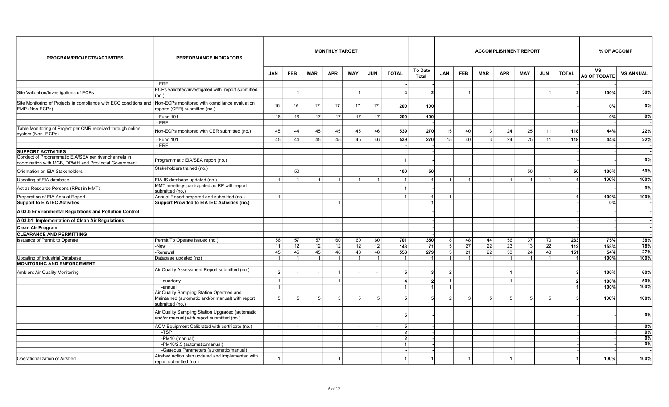| PROGRAM/PROJECTS/ACTIVITIES                                                                                    | <b>PERFORMANCE INDICATORS</b>                                                                                    |                |                |            | <b>MONTHLY TARGET</b> |                |                 |                         |                                |                |                 |                      |                 | <b>ACCOMPLISHMENT REPORT</b> |                 |                          | % OF ACCOMP               |                  |
|----------------------------------------------------------------------------------------------------------------|------------------------------------------------------------------------------------------------------------------|----------------|----------------|------------|-----------------------|----------------|-----------------|-------------------------|--------------------------------|----------------|-----------------|----------------------|-----------------|------------------------------|-----------------|--------------------------|---------------------------|------------------|
|                                                                                                                |                                                                                                                  | <b>JAN</b>     | <b>FEB</b>     | <b>MAR</b> | <b>APR</b>            | <b>MAY</b>     | <b>JUN</b>      | <b>TOTAL</b>            | <b>To Date</b><br><b>Total</b> | <b>JAN</b>     | <b>FEB</b>      | <b>MAR</b>           | <b>APR</b>      | <b>MAY</b>                   | <b>JUN</b>      | <b>TOTAL</b>             | VS<br><b>AS OF TODATE</b> | <b>VS ANNUAL</b> |
|                                                                                                                | - ERF                                                                                                            |                |                |            |                       |                |                 |                         |                                |                |                 |                      |                 |                              |                 |                          |                           |                  |
| Site Validation/Investigations of ECPs                                                                         | ECPs validated/investigated with report submitted<br>(no.)                                                       |                |                |            |                       |                |                 |                         |                                |                |                 |                      |                 |                              |                 |                          | 100%                      | 50%              |
| Site Monitoring of Projects in compliance with ECC conditions and<br>EMP (Non-ECPs)                            | Non-ECPs monitored with compliance evaluation<br>reports (CER) submitted (no.)                                   | 16             | 16             | 17         | 17                    | 17             | 17              | 200                     | 100 <sup>1</sup>               |                |                 |                      |                 |                              |                 |                          | 0%                        | 0%               |
|                                                                                                                | - Fund 101                                                                                                       | 16             | 16             | 17         | 17                    | 17             | 17              | 200                     | 100                            |                |                 |                      |                 |                              |                 |                          | 0%                        | $0\%$            |
|                                                                                                                | - ERF                                                                                                            |                |                |            |                       |                |                 |                         |                                |                |                 |                      |                 |                              |                 |                          |                           |                  |
| Table Monitoring of Project per CMR received through online<br>system (Non-ECPs)                               | Non-ECPs monitored with CER submitted (no.)                                                                      | 45             | 44             | 45         | 45                    | 45             | 46              | 539                     | 270                            | 15             | 40              | 3                    | 24              | 25                           | 11              | 118                      | 44%                       | 22%              |
|                                                                                                                | - Fund 101                                                                                                       | 45             | 44             | 45         | 45                    | 45             | 46              | 539                     | 270                            | 15             | 40 <sup>1</sup> | 3                    | 24              | 25                           | 11              | 118                      | 44%                       | 22%              |
| <b>SUPPORT ACTIVITIES</b>                                                                                      | - ERF                                                                                                            |                |                |            |                       |                |                 |                         |                                |                |                 |                      |                 |                              |                 |                          |                           |                  |
| Conduct of Programmatic EIA/SEA per river channels in<br>coordination with MGB, DPWH and Provincial Government | Programmatic EIA/SEA report (no.)                                                                                |                |                |            |                       |                |                 |                         |                                |                |                 |                      |                 |                              |                 |                          |                           | 0%               |
| Orientation on EIA Stakeholders                                                                                | Stakeholders trained (no.)                                                                                       |                | 50             |            |                       |                |                 | 100                     | 50 <sup>1</sup>                |                |                 |                      |                 | 50                           |                 | 50                       | 100%                      | 50%              |
| Updating of EIA database                                                                                       | EIA-IS database updated (no.)                                                                                    | $\overline{1}$ | $\overline{1}$ |            | 1                     | 1 <sup>1</sup> | $\overline{1}$  |                         |                                | 1              | 1 <sup>1</sup>  | $\blacktriangleleft$ |                 | $\mathbf{1}$                 |                 |                          | 100%                      | 100%             |
| Act as Resource Persons (RPs) in MMTs                                                                          | MMT meetings participated as RP with report<br>submitted (no.)                                                   |                |                |            |                       |                |                 |                         |                                |                |                 |                      |                 |                              |                 |                          |                           | 0%               |
| Preparation of EIA Annual Report                                                                               | Annual Report prepared and submitted (no.)                                                                       | $\vert$ 1      |                |            |                       |                |                 |                         |                                | 1              |                 |                      |                 |                              |                 |                          | 100%                      | 100%             |
| <b>Support to EIA IEC Activities</b>                                                                           | Support Provided to EIA IEC Activities (no.)                                                                     |                |                |            | 1                     |                |                 |                         |                                |                |                 |                      |                 |                              |                 |                          | 0%                        |                  |
| A.03.b Environmental Regulations and Pollution Control                                                         |                                                                                                                  |                |                |            |                       |                |                 |                         |                                |                |                 |                      |                 |                              |                 |                          |                           |                  |
| A.03.b1 Implementation of Clean Air Regulations                                                                |                                                                                                                  |                |                |            |                       |                |                 |                         |                                |                |                 |                      |                 |                              |                 |                          |                           |                  |
| <b>Clean Air Program</b>                                                                                       |                                                                                                                  |                |                |            |                       |                |                 |                         |                                |                |                 |                      |                 |                              |                 |                          |                           |                  |
| <b>CLEARANCE AND PERMITTING</b>                                                                                |                                                                                                                  |                |                |            |                       |                |                 |                         |                                |                |                 |                      |                 |                              |                 |                          |                           |                  |
| Issuance of Permit to Operate                                                                                  | Permit To Operate Issued (no.)                                                                                   | 56             | 57             | 57         | 60                    | 60             | 60              | 701                     | 350                            | 8              | 48              | 44                   | 56              | 37                           | 70              | 263                      | 75%                       | 38%              |
|                                                                                                                | -New                                                                                                             | 11             | 12             | 12         | 12 <sup>1</sup>       | 12             | 12              | 143                     | 71                             | 5 <sup>1</sup> | $\overline{27}$ | 22                   | $\overline{23}$ | 13                           | $\overline{22}$ | 112                      | 158%                      | 78%              |
|                                                                                                                | -Renewal                                                                                                         | 45             | 45             | 45         | 48                    | 48             | 48              | 558                     | 279                            | 3 <sup>1</sup> | 21              | 22                   | 33              | 24                           | 48              | 151                      | 54%                       | 27%              |
| Updating of Industrial Database                                                                                | Database updated (no)                                                                                            | $\overline{1}$ | $\overline{1}$ |            | $\overline{1}$        | $\overline{1}$ | $\mathbf{1}$    |                         | $\overline{1}$                 | 1              | $\overline{1}$  | $\overline{1}$       | $\mathbf{1}$    | $\overline{1}$               | $\overline{1}$  | -1                       | 100%                      | 100%             |
| <b>MONITORING AND ENFORCEMENT</b>                                                                              |                                                                                                                  |                |                |            |                       |                |                 |                         |                                |                |                 |                      |                 |                              |                 |                          |                           |                  |
| Ambient Air Quality Monitoring                                                                                 | Air Quality Assessment Report submitted (no.)                                                                    |                |                |            |                       |                |                 |                         |                                | $\overline{2}$ |                 |                      |                 |                              |                 |                          | 100%                      | 60%              |
|                                                                                                                | -quarterly                                                                                                       |                |                |            |                       |                |                 |                         | $\overline{2}$                 | $\overline{1}$ |                 |                      |                 |                              |                 | $\overline{\phantom{a}}$ | 100%                      | 50%              |
|                                                                                                                | -annual                                                                                                          | $\vert$ 1      |                |            |                       |                |                 |                         |                                | 1              |                 |                      |                 |                              |                 | $\blacktriangleleft$     | 100%                      | 100%             |
|                                                                                                                | Air Quality Sampling Station Operated and<br>Maintained (automatic and/or manual) with report<br>submitted (no.) | 5 <sup>1</sup> | 5              | 5          | 5                     |                | $5\overline{)}$ |                         |                                | 2 <sup>1</sup> | 3               | 5                    | 5               | 5                            |                 |                          | 100%                      | 100%             |
|                                                                                                                | Air Quality Sampling Station Upgraded (automatic<br>and/or manual) with report submitted (no.)                   |                |                |            |                       |                |                 |                         |                                |                |                 |                      |                 |                              |                 |                          |                           | 0%               |
|                                                                                                                | AQM Equipment Calibrated with certificate (no.)                                                                  |                |                |            |                       |                |                 | 5 <sup>1</sup>          |                                |                |                 |                      |                 |                              |                 |                          |                           | 0%               |
|                                                                                                                | -TSP                                                                                                             |                |                |            |                       |                |                 | $\mathbf{2}$            |                                |                |                 |                      |                 |                              |                 |                          |                           | $0\%$            |
|                                                                                                                | -PM10 (manual)                                                                                                   |                |                |            |                       |                |                 | $\overline{\mathbf{z}}$ |                                |                |                 |                      |                 |                              |                 |                          |                           | 0%               |
|                                                                                                                | -PM10/2.5 (automatic/manual)                                                                                     |                |                |            |                       |                |                 |                         |                                |                |                 |                      |                 |                              |                 |                          |                           | 0%               |
|                                                                                                                | -Gaseous Parameters (automatic/manual)                                                                           |                |                |            |                       |                |                 |                         |                                |                |                 |                      |                 |                              |                 |                          |                           |                  |
| Operationalization of Airshed                                                                                  | Airshed action plan updated and implemented with<br>report submitted (no.)                                       |                |                |            |                       |                |                 |                         |                                |                |                 |                      |                 |                              |                 |                          | 100%                      | 100%             |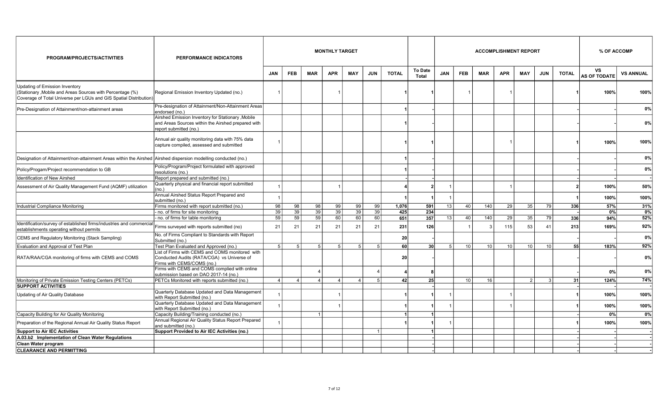| PROGRAM/PROJECTS/ACTIVITIES                                                                                                                                     | <b>PERFORMANCE INDICATORS</b>                                                                                                      |                |                |                 | <b>MONTHLY TARGET</b> |                |                |              |                         |            |                 |            |                | <b>ACCOMPLISHMENT REPORT</b> |               |              | % OF ACCOMP               |                  |
|-----------------------------------------------------------------------------------------------------------------------------------------------------------------|------------------------------------------------------------------------------------------------------------------------------------|----------------|----------------|-----------------|-----------------------|----------------|----------------|--------------|-------------------------|------------|-----------------|------------|----------------|------------------------------|---------------|--------------|---------------------------|------------------|
|                                                                                                                                                                 |                                                                                                                                    | <b>JAN</b>     | <b>FEB</b>     | <b>MAR</b>      | <b>APR</b>            | <b>MAY</b>     | <b>JUN</b>     | <b>TOTAL</b> | <b>To Date</b><br>Total | <b>JAN</b> | <b>FEB</b>      | <b>MAR</b> | <b>APR</b>     | <b>MAY</b>                   | <b>JUN</b>    | <b>TOTAL</b> | VS<br><b>AS OF TODATE</b> | <b>VS ANNUAL</b> |
| Updating of Emission Inventory<br>(Stationary, Mobile and Areas Sources with Percentage (%)<br>Coverage of Total Universe per LGUs and GIS Spatial Distribution | Regional Emission Inventory Updated (no.)                                                                                          |                |                |                 |                       |                |                |              |                         |            |                 |            |                |                              |               |              | 100%                      | 100%             |
| Pre-Designation of Attainment/non-attainment areas                                                                                                              | Pre-designation of Attainment/Non-Attainment Areas<br>endorsed (no.)                                                               |                |                |                 |                       |                |                |              |                         |            |                 |            |                |                              |               |              |                           | $0\%$            |
|                                                                                                                                                                 | Airshed Emission Inventory for Stationary , Mobile<br>and Areas Sources within the Airshed prepared with<br>report submitted (no.) |                |                |                 |                       |                |                |              |                         |            |                 |            |                |                              |               |              |                           | 0%               |
|                                                                                                                                                                 | Annual air quality monitoring data with 75% data<br>capture compiled, assessed and submitted                                       |                |                |                 |                       |                |                |              |                         |            |                 |            | $\overline{1}$ |                              |               |              | 100%                      | 100%             |
| Designation of Attainment/non-attainment Areas within the Airshed   Airshed dispersion modelling conducted (no.)                                                |                                                                                                                                    |                |                |                 |                       |                |                |              |                         |            |                 |            |                |                              |               |              |                           | 0%               |
| Policy/Progam/Project recommendation to GB                                                                                                                      | Policy/Program/Project formulated with approved<br>resolutions (no.)                                                               |                |                |                 |                       |                |                |              |                         |            |                 |            |                |                              |               |              |                           | 0%               |
| Identification of New Airshed                                                                                                                                   | Report prepared and submitted (no.)                                                                                                |                |                |                 |                       |                |                |              |                         |            |                 |            |                |                              |               |              |                           |                  |
| Assessment of Air Quality Management Fund (AQMF) utilization                                                                                                    | Quarterly physical and financial report submitted<br>(no.)                                                                         |                |                |                 |                       |                |                |              |                         |            |                 |            |                |                              |               |              | 100%                      | 50%              |
|                                                                                                                                                                 | Annual Airshed Status Report Prepared and<br>submitted (no.)                                                                       |                |                |                 |                       |                |                |              |                         |            |                 |            |                |                              |               |              | 100%                      | 100%             |
| Industrial Compliance Monitoring                                                                                                                                | Firms monitored with report submitted (no.)                                                                                        | 98             | 98             | 98              | 99                    | 99             | 99             | 1,076        | 591                     | 13         | 40              | 140        | 29             | 35                           | 79            | 336          | 57%                       | 31%              |
|                                                                                                                                                                 | no. of firms for site monitoring                                                                                                   | 39             | 39             | 39              | 39                    | 39             | 39             | 425          | 234                     |            |                 |            |                |                              |               |              | 0%                        | 0%               |
|                                                                                                                                                                 | no. of firms for table monitoring                                                                                                  | 59             | 59             | $\overline{59}$ | 60                    | 60             | 60             | 651          | 357                     | 13         | 40              | 140        | 29             | 35                           | 79            | 336          | 94%                       | 52%              |
| Identification/survey of established firms/industries and commercial<br>establishments operating without permits                                                | Firms surveyed with reports submitted (no)                                                                                         | 21             | 21             | 21              | 21                    | 21             | 21             | 231          | 126                     |            |                 |            | 115            | 53                           | 41            | 213          | 169%                      | 92%              |
| CEMS and Regulatory Monitoring (Stack Sampling)                                                                                                                 | No. of Firms Compliant to Standards with Report<br>Submitted (no.)                                                                 |                |                |                 |                       |                |                | 20           |                         |            |                 |            |                |                              |               |              |                           | 0%               |
| Evaluation and Approval of Test Plan                                                                                                                            | Test Plan Evaluated and Approved (no.)                                                                                             | 5 <sup>1</sup> | 5              | 5               | 5 <sup>1</sup>        | 5 <sup>1</sup> | -5             | 60           | 30 <sup>1</sup>         | 5          | 10              | 10         | 10             | 10 <sup>1</sup>              | 10            | 55           | 183%                      | 92%              |
| RATA/RAA/CGA monitoring of firms with CEMS and COMS                                                                                                             | List of Firms with CEMS and COMS monitored with<br>Conducted Audits (RATA/CGA) vs Universe of<br>Firms with CEMS/COMS (no.)        |                |                |                 |                       |                |                | 20           |                         |            |                 |            |                |                              |               |              |                           | $0\%$            |
|                                                                                                                                                                 | Firms with CEMS and COMS complied with online<br>submission based on DAO 2017-14 (no.)                                             |                |                |                 |                       |                |                |              |                         |            |                 |            |                |                              |               |              | 0%                        | $0\%$            |
| Monitoring of Private Emission Testing Centers (PETCs)                                                                                                          | PETCs Monitored with reports submitted (no.)                                                                                       | 4              | $\overline{4}$ | $\overline{4}$  | $\overline{4}$        | $\overline{4}$ | $\overline{5}$ | 42           | 25                      |            | 10 <sup>1</sup> | 16         |                | $\overline{2}$               | $\mathcal{R}$ | 31           | 124%                      | 74%              |
| <b>SUPPORT ACTIVITIES</b>                                                                                                                                       |                                                                                                                                    |                |                |                 |                       |                |                |              |                         |            |                 |            |                |                              |               |              |                           |                  |
| Updating of Air Quality Database                                                                                                                                | Quarterly Database Updated and Data Management<br>with Report Submitted (no.)                                                      |                |                |                 |                       |                |                |              |                         |            |                 |            |                |                              |               |              | 100%                      | 100%             |
|                                                                                                                                                                 | Quarterly Database Updated and Data Management<br>with Report Submitted (no.)                                                      |                |                |                 |                       |                |                |              |                         |            |                 |            | $\overline{1}$ |                              |               |              | 100%                      | 100%             |
| Capacity Building for Air Quality Monitoring                                                                                                                    | Capacity Building/Training conducted (no.)                                                                                         |                |                | $\overline{1}$  |                       |                |                |              |                         |            |                 |            |                |                              |               |              | 0%                        | $0\%$            |
| Preparation of the Regional Annual Air Quality Status Report                                                                                                    | Annual Regional Air Quality Status Report Prepared<br>and submitted (no.)                                                          |                |                |                 |                       |                |                |              |                         |            |                 |            |                |                              |               |              | 100%                      | 100%             |
| <b>Support to Air IEC Activities</b>                                                                                                                            | Support Provided to Air IEC Activities (no.)                                                                                       |                |                |                 |                       |                | $\mathbf{1}$   |              |                         |            |                 |            |                |                              |               |              |                           |                  |
| A.03.b2 Implementation of Clean Water Regulations                                                                                                               |                                                                                                                                    |                |                |                 |                       |                |                |              |                         |            |                 |            |                |                              |               |              |                           |                  |
| Clean Water program                                                                                                                                             |                                                                                                                                    |                |                |                 |                       |                |                |              |                         |            |                 |            |                |                              |               |              |                           |                  |
| <b>CLEARANCE AND PERMITTING</b>                                                                                                                                 |                                                                                                                                    |                |                |                 |                       |                |                |              |                         |            |                 |            |                |                              |               |              |                           |                  |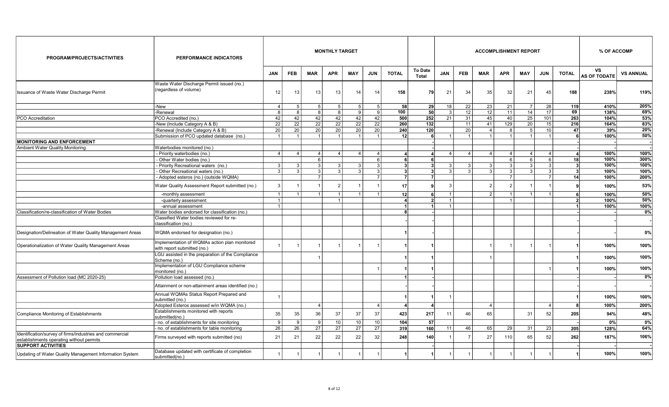| PROGRAM/PROJECTS/ACTIVITIES                                                                          | <b>PERFORMANCE INDICATORS</b>                                                | <b>MONTHLY TARGET</b><br><b>ACCOMPLISHMENT REPORT</b><br><b>To Date</b> |                |                |                |                 |                |                |                |                |                |                |                |                | % OF ACCOMP    |              |                           |                  |
|------------------------------------------------------------------------------------------------------|------------------------------------------------------------------------------|-------------------------------------------------------------------------|----------------|----------------|----------------|-----------------|----------------|----------------|----------------|----------------|----------------|----------------|----------------|----------------|----------------|--------------|---------------------------|------------------|
|                                                                                                      |                                                                              | <b>JAN</b>                                                              | <b>FEB</b>     | <b>MAR</b>     | <b>APR</b>     | <b>MAY</b>      | <b>JUN</b>     | <b>TOTAL</b>   | Total          | <b>JAN</b>     | <b>FEB</b>     | <b>MAR</b>     | <b>APR</b>     | <b>MAY</b>     | <b>JUN</b>     | <b>TOTAL</b> | VS<br><b>AS OF TODATE</b> | <b>VS ANNUAL</b> |
| Issuance of Waste Water Discharge Permit                                                             | Waste Water Discharge Permit issued (no.)<br>(regardless of volume)          | 12                                                                      | 13             | 13             | 13             | 14              | 14             | 158            | 79 I           | 21             | 34             | 35             | 32             | 21             | 45             | 188          | 238%                      | 119%             |
|                                                                                                      | -New                                                                         | 4                                                                       | 5              | 5              | 5 <sup>1</sup> | 5 <sup>1</sup>  | 5              | 58             | 29             | 18             | 22             | 23             | 21             | $\overline{7}$ | 28             | 119          | 410%                      | 205%             |
|                                                                                                      | -Renewal                                                                     | 8                                                                       | 8              | 8              | 8              | 9 <sup>1</sup>  | -9             | 100            | 50             | 3              | 12             | 12             | 11             | 14             | 17             | 69           | 138%                      | 69%              |
| <b>PCO</b> Accreditation                                                                             | PCO Accredited (no.)                                                         | 42                                                                      | 42             | 42             | 42             | 42              | 42             | 500            | 252            | 21             | 31             | 45             | 40             | 25             | 101            | 263          | 104%                      | 53%              |
|                                                                                                      | -New (Include Category A & B)                                                | 22                                                                      | 22             | 22             | 22             | 22              | 22             | 260            | 132            |                | 11             | 41             | 129            | 20             | 15             | 216          | 164%                      | 83%              |
|                                                                                                      | -Renewal (Include Category A & B)                                            | 20                                                                      | 20             | 20             | 20             | 20              | 20             | 240            | 120            |                | 20             | $\overline{4}$ | 8              | $5^{\circ}$    | 10             | 47           | 39%                       | 20%              |
|                                                                                                      | Submission of PCO updated database (no.)                                     |                                                                         | $\overline{1}$ | $\overline{1}$ | $\mathbf{1}$   | -1              | $\mathbf{1}$   | 12             | 6              | $\mathbf{1}$   | $\overline{1}$ | -1             | $\overline{1}$ | $\mathbf{1}$   | -1             | 6            | 100%                      | 50%              |
| <b>MONITORING AND ENFORCEMENT</b>                                                                    |                                                                              |                                                                         |                |                |                |                 |                |                |                |                |                |                |                |                |                |              |                           |                  |
| Ambient Water Quality Monitoring                                                                     | Waterbodies monitored (no.)                                                  |                                                                         |                |                |                |                 |                |                |                |                |                |                |                |                |                |              |                           |                  |
|                                                                                                      | - Priority waterbodies (no.)                                                 | $\overline{4}$                                                          | $\overline{4}$ | $\overline{4}$ | 4 <sup>1</sup> | $\vert$ 4       | $\overline{4}$ |                |                | $\vert$ 4      | 4              | $\overline{4}$ | $\vert$ 4      | $\overline{4}$ | $\overline{4}$ |              | 100%                      | 100%             |
|                                                                                                      | - Other Water bodies (no.)                                                   |                                                                         |                | 6              |                |                 | 6              | 6              |                |                |                |                | 6              | 6              | -6             | 18           | 100%                      | 300%             |
|                                                                                                      | Priority Recreational waters (no.)                                           | 3                                                                       | 3              | $\mathbf{3}$   | 3              | 3               | 3              | 3              |                | 3              | 3 <sup>1</sup> | 3              | 3 <sup>1</sup> | 3              | 3              |              | 100%                      | 100%             |
|                                                                                                      | - Other Recreational waters (no.)                                            | 3                                                                       | $\overline{3}$ | 3              | $\overline{3}$ | $\mathcal{S}$   | 3              | 3              | з              | 3              | $\overline{3}$ | 3              | $\overline{3}$ | $\mathbf{3}$   | 3              | 3            | 100%                      | 100%             |
|                                                                                                      | - Adopted esteros (no.) (outside WQMA)                                       |                                                                         |                | $\overline{7}$ |                |                 | $\overline{7}$ | $\overline{7}$ | $\overline{ }$ |                |                |                | $\overline{7}$ |                | $\overline{7}$ | 14           | 100%                      | 200%             |
|                                                                                                      | Water Quality Assessment Report submitted (no.)                              | 3                                                                       |                |                | $\overline{2}$ |                 |                | 17             |                | 3              |                |                | 2              |                |                |              | 100%                      | 53%              |
|                                                                                                      | -monthly assessment                                                          | $\overline{1}$                                                          | $\overline{1}$ | $\overline{1}$ | $\mathbf{1}$   | $\overline{1}$  | $\overline{1}$ | 12             | 6              | 1              |                | $\mathcal{P}$  | $\overline{1}$ | $\mathbf{1}$   |                | 6            | 100%                      | 50%              |
|                                                                                                      | -quarterly assessment                                                        |                                                                         |                |                |                |                 |                | 4              | 2              | $\overline{1}$ |                |                |                |                |                |              | 100%                      | 50%              |
|                                                                                                      | -annual assessment                                                           |                                                                         |                |                |                |                 |                |                |                | $\overline{1}$ |                |                |                |                |                |              | 100%                      | 100%             |
| Classification/re-classification of Water Bodies                                                     | Water bodies endorsed for classification (no.)                               |                                                                         |                |                |                |                 |                |                |                |                |                |                |                |                |                |              |                           | 0%               |
|                                                                                                      | Classified Water bodies reviewed for re-<br>classification (no.)             |                                                                         |                |                |                |                 |                |                |                |                |                |                |                |                |                |              |                           |                  |
| Designation/Delineation of Water Quality Management Areas                                            | WQMA endorsed for designation (no.)                                          |                                                                         |                |                |                |                 |                |                |                |                |                |                |                |                |                |              |                           | $0\%$            |
| Operationalization of Water Quality Management Areas                                                 | Implementation of WQMAs action plan monitored<br>with report submitted (no.) |                                                                         |                | $\overline{1}$ |                |                 |                |                |                |                |                |                | $\overline{1}$ | $\mathbf 1$    |                |              | 100%                      | 100%             |
|                                                                                                      | LGU assisted in the preparation of the Compliance<br>Scheme (no.)            |                                                                         |                |                |                |                 |                |                |                |                |                |                |                |                |                |              | 100%                      | 100%             |
|                                                                                                      | Implementation of LGU Compliance scheme<br>monitored (no.)                   |                                                                         |                |                |                |                 |                |                |                |                |                |                |                |                |                |              | 100%                      | 100%             |
| Assessment of Pollution load (MC 2020-25)                                                            | Pollution load assessed (no.)                                                |                                                                         |                |                |                |                 |                |                |                |                |                |                |                |                |                |              |                           | $0\%$            |
|                                                                                                      | Attainment or non-attainment areas identified (no.)                          |                                                                         |                |                |                |                 |                |                |                |                |                |                |                |                |                |              |                           |                  |
|                                                                                                      | Annual WQMAs Status Report Prepared and<br>submitted (no.)                   |                                                                         |                |                |                |                 |                |                |                |                |                |                |                |                |                |              | 100%                      | 100%             |
|                                                                                                      | Adopted Esteros assessed w/in WQMA (no.)                                     |                                                                         |                | $\overline{4}$ |                |                 | $\overline{4}$ |                |                |                |                | -4             |                |                | Δ              |              | 100%                      | 200%             |
| Compliance Monitoring of Establishments                                                              | Establishments monitored with reports<br>submitted(no.)                      | 35                                                                      | 35             | 36             | 37             | 37              | 37             | 423            | 217            | 11             | 46             | 65             |                | 31             | 52             | 205          | 94%                       | 48%              |
|                                                                                                      | no. of establishments for site monitoring                                    | 9                                                                       | 9              | 9              | 10             | 10              | 10             | 104            | 57             |                |                |                |                |                |                |              | 0%                        | $0\%$            |
|                                                                                                      | - no. of establishments for table monitoring                                 | 26                                                                      | 26             | 27             | 27             | $\overline{27}$ | 27             | 319            | 160            | 11             | 46             | 65             | 29             | 31             | 23             | 205          | 128%                      | 64%              |
| Identification/survey of firms/industries and commercial<br>establishments operating without permits | Firms surveyed with reports submitted (no)                                   | 21                                                                      | 21             | 22             | 22             | 22              | 32             | 248            | 140            |                | $\overline{7}$ | 27             | 110            | 65             | 52             | 262          | 187%                      | 106%             |
| <b>SUPPORT ACTIVITIES</b>                                                                            |                                                                              |                                                                         |                |                |                |                 |                |                |                |                |                |                |                |                |                |              |                           |                  |
| Updating of Water Quality Management Information System                                              | Database updated with certificate of completion<br>submitted(no.)            |                                                                         | $\overline{1}$ | $\overline{1}$ |                |                 |                |                |                |                |                |                | $\overline{1}$ |                |                |              | 100%                      | 100%             |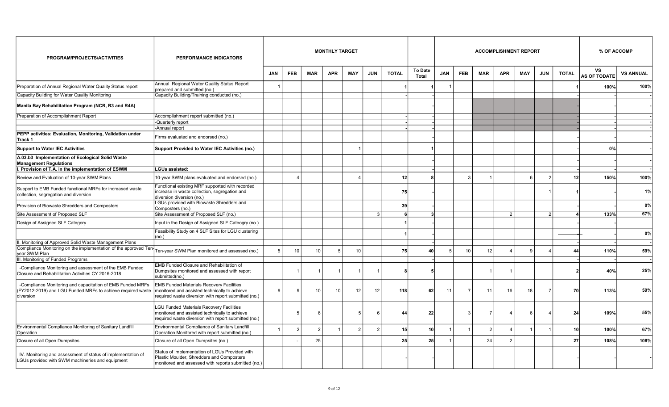| PROGRAM/PROJECTS/ACTIVITIES                                                                                                             | PERFORMANCE INDICATORS                                                                                                                                   |            |                |               | <b>MONTHLY TARGET</b> |            |                |              |                         |            |            |            | <b>ACCOMPLISHMENT REPORT</b> |                         | % OF ACCOMP   |              |                                  |                  |
|-----------------------------------------------------------------------------------------------------------------------------------------|----------------------------------------------------------------------------------------------------------------------------------------------------------|------------|----------------|---------------|-----------------------|------------|----------------|--------------|-------------------------|------------|------------|------------|------------------------------|-------------------------|---------------|--------------|----------------------------------|------------------|
|                                                                                                                                         |                                                                                                                                                          | <b>JAN</b> | <b>FEB</b>     | <b>MAR</b>    | <b>APR</b>            | <b>MAY</b> | <b>JUN</b>     | <b>TOTAL</b> | <b>To Date</b><br>Total | <b>JAN</b> | <b>FEB</b> | <b>MAR</b> | <b>APR</b>                   | <b>MAY</b>              | <b>JUN</b>    | <b>TOTAL</b> | <b>VS</b><br><b>AS OF TODATE</b> | <b>VS ANNUAL</b> |
| Preparation of Annual Regional Water Quality Status report                                                                              | Annual Regional Water Quality Status Report<br>prepared and submitted (no.)                                                                              |            |                |               |                       |            |                |              |                         |            |            |            |                              |                         |               |              | 100%                             | 100%             |
| Capacity Building for Water Quality Monitoring                                                                                          | Capacity Building/Training conducted (no.)                                                                                                               |            |                |               |                       |            |                |              |                         |            |            |            |                              |                         |               |              |                                  |                  |
| Manila Bay Rehabilitation Program (NCR, R3 and R4A)                                                                                     |                                                                                                                                                          |            |                |               |                       |            |                |              |                         |            |            |            |                              |                         |               |              |                                  |                  |
| Preparation of Accomplishment Report                                                                                                    | Accomplishment report submitted (no.)                                                                                                                    |            |                |               |                       |            |                |              |                         |            |            |            |                              |                         |               |              |                                  |                  |
|                                                                                                                                         | -Quarterly report                                                                                                                                        |            |                |               |                       |            |                |              |                         |            |            |            |                              |                         |               |              |                                  |                  |
|                                                                                                                                         | -Annual report                                                                                                                                           |            |                |               |                       |            |                |              |                         |            |            |            |                              |                         |               |              |                                  |                  |
| PEPP activities: Evaluation, Monitoring, Validation under<br>Track 1                                                                    | Firms evaluated and endorsed (no.)                                                                                                                       |            |                |               |                       |            |                |              |                         |            |            |            |                              |                         |               |              |                                  |                  |
| <b>Support to Water IEC Activities</b>                                                                                                  | Support Provided to Water IEC Activities (no.)                                                                                                           |            |                |               |                       |            |                |              |                         |            |            |            |                              |                         |               |              | 0%                               |                  |
| A.03.b3 Implementation of Ecological Solid Waste<br><b>Management Regulations</b>                                                       |                                                                                                                                                          |            |                |               |                       |            |                |              |                         |            |            |            |                              |                         |               |              |                                  |                  |
| I. Provision of T.A. in the implementation of ESWM                                                                                      | <b>LGUs assisted:</b>                                                                                                                                    |            |                |               |                       |            |                |              |                         |            |            |            |                              |                         |               |              |                                  |                  |
| Review and Evaluation of 10-year SWM Plans                                                                                              | 10-year SWM plans evaluated and endorsed (no.)                                                                                                           |            |                |               |                       |            |                | 12           |                         |            | P          |            |                              | 6                       |               | 12           | 150%                             | 100%             |
| Support to EMB Funded functional MRFs for increased waste<br>collection, segregation and diversion                                      | Functional existing MRF supported with recorded<br>increase in waste collection, segregation and<br>diversion diversion (no.)                            |            |                |               |                       |            |                | 75           |                         |            |            |            |                              |                         |               |              |                                  | 1%               |
| Provision of Biowaste Shredders and Composters                                                                                          | LGUs provided with Biowaste Shredders and<br>Composters (no.)                                                                                            |            |                |               |                       |            |                | 39           |                         |            |            |            |                              |                         |               |              |                                  | $0\%$            |
| Site Assessment of Proposed SLF                                                                                                         | Site Assessment of Proposed SLF (no.)                                                                                                                    |            |                |               |                       |            | વ              |              |                         |            |            |            | $\mathcal{P}$                |                         | $\mathcal{P}$ |              | 133%                             | 67%              |
| Design of Assigned SLF Category                                                                                                         | Input in the Design of Assigned SLF Cateogry (no.)                                                                                                       |            |                |               |                       |            |                |              |                         |            |            |            |                              |                         |               |              |                                  |                  |
|                                                                                                                                         | Feasibility Study on 4 SLF Sites for LGU clustering<br>(no.)                                                                                             |            |                |               |                       |            |                |              |                         |            |            |            |                              |                         |               |              |                                  | 0%               |
| I. Monitoring of Approved Solid Waste Management Plans                                                                                  |                                                                                                                                                          |            |                |               |                       |            |                |              |                         |            |            |            |                              |                         |               |              |                                  |                  |
| Compliance Monitoring on the implementation of the approved Ten<br>year SWM Plan                                                        | Ten-year SWM Plan monitored and assessed (no.)                                                                                                           | 5          | 10             | 10            | 5                     | 10         |                | 75           | 40                      | 5          | 10         | 12         |                              | 9                       |               | $\mathbf{A}$ | 110%                             | 59%              |
| III. Monitoring of Funded Programs                                                                                                      |                                                                                                                                                          |            |                |               |                       |            |                |              |                         |            |            |            |                              |                         |               |              |                                  |                  |
| -Compliance Monitoring and assessment of the EMB Funded<br>Closure and Rehabilitation Activities CY 2016-2018                           | EMB Funded Closure and Rehabilitation of<br>Dumpsites monitored and assessed with report<br>submitted(no.)                                               |            |                |               |                       |            |                |              |                         |            |            |            |                              |                         |               |              | 40%                              | 25%              |
| -Compliance Monitoring and capacitation of EMB Funded MRFs<br>(FY2012-2019) and LGU Funded MRFs to achieve required waste<br>Idiversion | <b>EMB Funded Materials Recovery Facilities</b><br>monitored and assisted technically to achieve<br>required waste diversion with report submitted (no.) | q          | q              | 10            | 10                    | 12         | 12             | 118          | 62                      | 11         |            | 11         | 16                           | 18                      |               | 70           | 113%                             | 59%              |
|                                                                                                                                         | <b>LGU Funded Materials Recovery Facilities</b><br>monitored and assisted technically to achieve<br>required waste diversion with report submitted (no.) |            | 5              | -6            |                       | 5          | 6              | 44           | 22                      |            | 3          |            |                              | 6                       |               | 24           | 109%                             | 55%              |
| Environmental Compliance Monitoring of Sanitary Landfill<br>Operation                                                                   | Environmental Compliance of Sanitary Landfill<br>Operation Monitored with report submitted (no.)                                                         |            | $\overline{2}$ | $\mathcal{P}$ |                       |            | $\overline{2}$ | 15           | 10                      |            |            |            |                              | $\overline{\mathbf{1}}$ |               | 10           | 100%                             | 67%              |
| Closure of all Open Dumpsites                                                                                                           | Closure of all Open Dumpsites (no.)                                                                                                                      |            |                | 25            |                       |            |                | 25           | 25 <sup>1</sup>         |            |            | 24         | $\overline{2}$               |                         |               | 27           | 108%                             | 108%             |
| IV. Monitoring and assessment of status of implementation of<br>LGUs provided with SWM machineries and equipment                        | Status of Implementation of LGUs Provided with<br>Plastic Moulder, Shredders and Composters<br>monitored and assessed with reports submitted (no.)       |            |                |               |                       |            |                |              |                         |            |            |            |                              |                         |               |              |                                  |                  |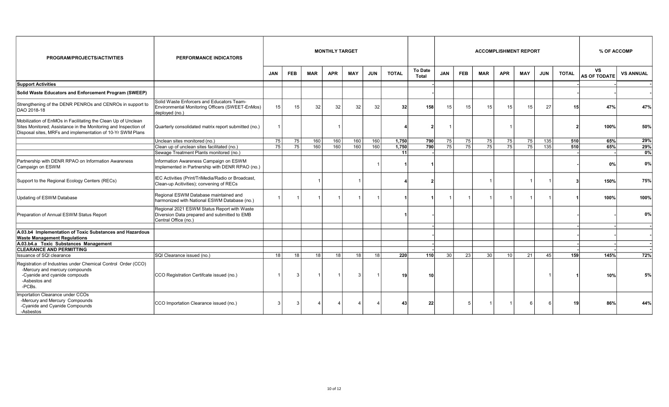| PROGRAM/PROJECTS/ACTIVITIES                                                                                                                                                                    | <b>PERFORMANCE INDICATORS</b>                                                                                       | <b>MONTHLY TARGET</b><br><b>ACCOMPLISHMENT REPORT</b> |                 |            |            |            |            |              |                         |            |                 |            | % OF ACCOMP     |              |                 |              |                                  |                  |
|------------------------------------------------------------------------------------------------------------------------------------------------------------------------------------------------|---------------------------------------------------------------------------------------------------------------------|-------------------------------------------------------|-----------------|------------|------------|------------|------------|--------------|-------------------------|------------|-----------------|------------|-----------------|--------------|-----------------|--------------|----------------------------------|------------------|
|                                                                                                                                                                                                |                                                                                                                     | <b>JAN</b>                                            | <b>FEB</b>      | <b>MAR</b> | <b>APR</b> | <b>MAY</b> | <b>JUN</b> | <b>TOTAL</b> | <b>To Date</b><br>Total | <b>JAN</b> | <b>FEB</b>      | <b>MAR</b> | <b>APR</b>      | <b>MAY</b>   | <b>JUN</b>      | <b>TOTAL</b> | <b>VS</b><br><b>AS OF TODATE</b> | <b>VS ANNUAL</b> |
| <b>Support Activities</b>                                                                                                                                                                      |                                                                                                                     |                                                       |                 |            |            |            |            |              |                         |            |                 |            |                 |              |                 |              |                                  |                  |
| Solid Waste Educators and Enforcement Program (SWEEP)                                                                                                                                          |                                                                                                                     |                                                       |                 |            |            |            |            |              |                         |            |                 |            |                 |              |                 |              |                                  |                  |
| Strengthening of the DENR PENROs and CENROs in support to<br>DAO 2018-18                                                                                                                       | Solid Waste Enforcers and Educators Team-<br>Environmental Monitoring Officers (SWEET-EnMos)<br>deployed (no.)      | 15                                                    | 15              | 32         | 32         | 32         | 32         | 32           | 158                     | 15         | 15              | 15         | 15              | 15           | 27              | 15           | 47%                              | 47%              |
| Mobilization of EnMOs in Facilitating the Clean Up of Unclean<br>Sites Monitored; Assistance in the Monitoring and Inspection of<br>Disposal sites, MRFs and implementation of 10-Yr SWM Plans | Quarterly consolidated matrix report submitted (no.)                                                                |                                                       |                 |            |            |            |            |              |                         |            |                 |            |                 |              |                 |              | 100%                             | 50%              |
|                                                                                                                                                                                                | Unclean sites monitored (no.)                                                                                       | 75                                                    | 75              | 160        | 160        | 160        | 160        | 1,750        | 790                     | 75         | 75              | 75         | 75              | 75           | 135             | 510          | 65%                              | 29%              |
|                                                                                                                                                                                                | Clean up of unclean sites facilitated (no.)                                                                         | 75                                                    | $\overline{75}$ | 160        | 160        | 160        | 160        | 1.750        | 790                     | 75         | $\overline{75}$ | 75         | $\overline{75}$ | 75           | $\frac{135}{ }$ | 510          | 65%                              | 29%              |
|                                                                                                                                                                                                | Sewage Treatment Plants monitored (no.)                                                                             |                                                       |                 |            |            |            |            | 11           |                         |            |                 |            |                 |              |                 |              |                                  | 0%               |
| Partnership with DENR RPAO on Information Awareness<br>Campaign on ESWM                                                                                                                        | Information Awareness Campaign on ESWM<br>Implemented in Partnership with DENR RPAO (no.)                           |                                                       |                 |            |            |            |            |              |                         |            |                 |            |                 |              |                 |              | 0%                               | 0%               |
| Support to the Regional Ecology Centers (RECs)                                                                                                                                                 | IEC Activities (Print/TriMedia/Radio or Broadcast,<br>Clean-up Acitivities); convening of RECs                      |                                                       |                 |            |            |            |            |              | 2                       |            |                 |            |                 | $\mathbf{1}$ |                 |              | 150%                             | 75%              |
| Updating of ESWM Database                                                                                                                                                                      | Regional ESWM Database maintained and<br>harmonized with National ESWM Database (no.)                               |                                                       |                 |            |            |            |            |              |                         |            |                 |            |                 |              |                 |              | 100%                             | 100%             |
| Preparation of Annual ESWM Status Report                                                                                                                                                       | Regional 2021 ESWM Status Report with Waste<br>Diversion Data prepared and submitted to EMB<br>Central Office (no.) |                                                       |                 |            |            |            |            |              |                         |            |                 |            |                 |              |                 |              |                                  | 0%               |
| A.03.b4 Implementation of Toxic Substances and Hazardous<br><b>Waste Management Regulations</b>                                                                                                |                                                                                                                     |                                                       |                 |            |            |            |            |              |                         |            |                 |            |                 |              |                 |              |                                  |                  |
| A.03.b4.a Toxic Substances Management                                                                                                                                                          |                                                                                                                     |                                                       |                 |            |            |            |            |              |                         |            |                 |            |                 |              |                 |              |                                  |                  |
| <b>CLEARANCE AND PERMITTING</b>                                                                                                                                                                |                                                                                                                     |                                                       |                 |            |            |            |            |              |                         |            |                 |            |                 |              |                 |              |                                  |                  |
| Issuance of SQI clearance                                                                                                                                                                      | SQI Clearance issued (no.)                                                                                          | 18                                                    | 18              | 18         | 18         | 18         | 18         | 220          | 110                     | 30         | $\overline{23}$ | 30         | 10 <sup>1</sup> | 21           | 45              | 159          | 145%                             | 72%              |
| Registration of Industries under Chemical Control Order (CCO)<br>-Mercury and mercury compounds<br>-Cyanide and cyanide compouds<br>-Asbestos and<br>-PCBs.                                    | CCO Registration Certifcate issued (no.)                                                                            |                                                       | 3               |            |            | 3          |            | 19           | 10                      |            |                 |            |                 |              |                 |              | 10%                              | 5%               |
| <b>Importation Clearance under CCOs</b><br>-Mercury and Mercury Compounds<br>-Cyanide and Cyanide Compounds<br>-Asbestos                                                                       | CCO Importation Clearance issued (no.)                                                                              | 3                                                     | 3               |            |            |            |            | 43           | 22                      |            |                 |            |                 | 6            |                 | 19           | 86%                              | 44%              |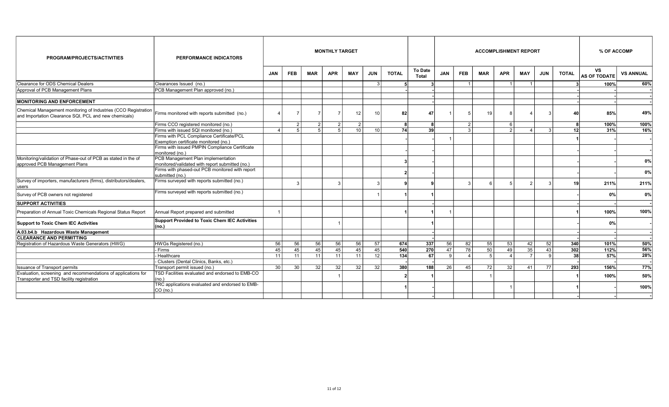| <b>PROGRAM/PROJECTS/ACTIVITIES</b>                                                                                      | <b>PERFORMANCE INDICATORS</b>                                      |            |                |                | <b>MONTHLY TARGET</b> |                  |                 |              |                                |            |                       |            |                | <b>ACCOMPLISHMENT REPORT</b> |              |                  | % OF ACCOMP               |                  |
|-------------------------------------------------------------------------------------------------------------------------|--------------------------------------------------------------------|------------|----------------|----------------|-----------------------|------------------|-----------------|--------------|--------------------------------|------------|-----------------------|------------|----------------|------------------------------|--------------|------------------|---------------------------|------------------|
|                                                                                                                         |                                                                    | <b>JAN</b> | <b>FEB</b>     | MAR            | <b>APR</b>            | <b>MAY</b>       | JUN             | <b>TOTAL</b> | <b>To Date</b><br><b>Total</b> | <b>JAN</b> | <b>FEB</b>            | <b>MAR</b> | <b>APR</b>     | <b>MAY</b>                   | <b>JUN</b>   | <b>TOTAL</b>     | VS<br><b>AS OF TODATE</b> | <b>VS ANNUAL</b> |
| Clearance for ODS Chemical Dealers                                                                                      | Clearances Issued (no.)                                            |            |                |                |                       |                  | $\mathbf{3}$    |              |                                |            | $\vert$ 1             |            | $\overline{1}$ | $\mathbf{1}$                 |              |                  | 100%                      | 60%              |
| Approval of PCB Management Plans                                                                                        | PCB Management Plan approved (no.)                                 |            |                |                |                       |                  |                 |              |                                |            |                       |            |                |                              |              |                  |                           |                  |
|                                                                                                                         |                                                                    |            |                |                |                       |                  |                 |              |                                |            |                       |            |                |                              |              |                  |                           |                  |
| <b>MONITORING AND ENFORCEMENT</b>                                                                                       |                                                                    |            |                |                |                       |                  |                 |              |                                |            |                       |            |                |                              |              |                  |                           |                  |
| Chemical Management monitoring of Industries (CCO Registration<br>and Importation Clearance SQI, PCL and new chemicals) | Firms monitored with reports submitted (no.)                       |            | $\overline{7}$ | $\overline{7}$ | $\overline{7}$        | 12 <sup>12</sup> | 10 <sup>1</sup> | 82           | 47                             |            |                       | 19         | $\mathbf{g}$   | Δ                            | 3            | 40               | 85%                       | 49%              |
|                                                                                                                         | Firms CCO registered monitored (no.)                               |            | $\overline{2}$ | $\overline{2}$ | 2                     | 2                |                 |              |                                |            | $\overline{2}$        |            | - 6 I          |                              |              |                  | 100%                      | 100%             |
|                                                                                                                         | Firms with issued SQI monitored (no.)                              |            | 5              | 5              | 5                     | 10 <sup>1</sup>  | 10              | 74           | -39                            |            | $\mathbf{z}$          |            | $\overline{2}$ |                              | વ            | 12 <sup>1</sup>  | 31%                       | 16%              |
|                                                                                                                         | Firms with PCL Compliance Certificate/PCL                          |            |                |                |                       |                  |                 |              |                                |            |                       |            |                |                              |              |                  |                           |                  |
|                                                                                                                         | Exemption certificate monitored (no.)                              |            |                |                |                       |                  |                 |              |                                |            |                       |            |                |                              |              |                  |                           |                  |
|                                                                                                                         | Firms with issued PMPIN Compliance Certificate<br>monitored (no.)  |            |                |                |                       |                  |                 |              |                                |            |                       |            |                |                              |              |                  |                           |                  |
| Monitoring/validation of Phase-out of PCB as stated in the of                                                           | PCB Management Plan implementation                                 |            |                |                |                       |                  |                 |              |                                |            |                       |            |                |                              |              |                  |                           | 0%               |
| approved PCB Management Plans                                                                                           | monitored/validated with report submitted (no.)                    |            |                |                |                       |                  |                 |              |                                |            |                       |            |                |                              |              |                  |                           |                  |
|                                                                                                                         | Firms with phased-out PCB monitored with report<br>submitted (no.) |            |                |                |                       |                  |                 |              |                                |            |                       |            |                |                              |              |                  |                           | 0%               |
| Survey of importers, manufacturers (firms), distributors/dealers,<br>users                                              | Firms surveyed with reports submitted (no.)                        |            | 3              |                | 3                     |                  | $\mathbf{3}$    |              |                                |            | 3                     |            | 5              | 2                            |              | 19               | 211%                      | 211%             |
| Survey of PCB owners not registered                                                                                     | Firms surveyed with reports submitted (no.)                        |            |                |                |                       |                  |                 |              |                                |            |                       |            |                |                              |              |                  | 0%                        | 0%               |
| <b>SUPPORT ACTIVITIES</b>                                                                                               |                                                                    |            |                |                |                       |                  |                 |              |                                |            |                       |            |                |                              |              |                  |                           |                  |
| Preparation of Annual Toxic Chemicals Regional Status Report                                                            | Annual Report prepared and submitted                               |            |                |                |                       |                  |                 |              |                                |            |                       |            |                |                              |              |                  | 100%                      | 100%             |
| Support to Toxic Chem IEC Activities                                                                                    | Support Provided to Toxic Chem IEC Activities<br> (no.)            |            |                |                |                       |                  |                 |              |                                |            |                       |            |                |                              |              |                  | 0%                        |                  |
| A.03.b4.b Hazardous Waste Management                                                                                    |                                                                    |            |                |                |                       |                  |                 |              |                                |            |                       |            |                |                              |              |                  |                           |                  |
| <b>CLEARANCE AND PERMITTING</b>                                                                                         |                                                                    |            |                |                |                       |                  |                 |              |                                |            |                       |            |                |                              |              |                  |                           |                  |
| Registration of Hazardous Waste Generators (HWG)                                                                        | HWGs Registered (no.)                                              | 56         | 56             | 56             | 56                    | 56               | 57              | 674          | 337                            | 56         | 82                    | 55         | 53             | 42                           | 52           | 340              | 101%                      | 50%              |
|                                                                                                                         | - Firms                                                            | 45         | 45             | 45             | 45                    | 45               | 45              | 540          | 270                            | 47         | 78                    | 50         | 49             | 35                           | 43           | 302              | 112%                      | 56%              |
|                                                                                                                         | - Healthcare                                                       | 11         | 11             | 11             | 11                    | 11               | 12              | 134          | 67                             | 9          | $\boldsymbol{\Delta}$ |            | $\overline{4}$ | $\overline{7}$               | $\mathsf{q}$ | -38 l            | 57%                       | 28%              |
|                                                                                                                         | - Clusters (Dental Clinics, Banks, etc.)                           |            |                |                |                       |                  |                 |              |                                |            |                       |            |                |                              |              |                  |                           |                  |
| <b>Issuance of Transport permits</b>                                                                                    | Transport permit issued (no.)                                      | 30         | 30             | 32             | 32                    | 32               | 32              | 380          | 188                            | 26         | 45                    | 72         | 32             | 41                           | 77           | $\overline{293}$ | 156%                      | 77%              |
| Evaluation, screening and recommendations of applications for<br>Transporter and TSD facility registration              | TSD Facilities evaluated and endorsed to EMB-CO<br>(no.)           |            |                |                |                       |                  |                 |              |                                |            |                       |            |                |                              |              |                  | 100%                      | 50%              |
|                                                                                                                         | TRC applications evaluated and endorsed to EMB-<br>CO (no.)        |            |                |                |                       |                  |                 |              |                                |            |                       |            |                |                              |              |                  |                           | 100%             |
|                                                                                                                         |                                                                    |            |                |                |                       |                  |                 |              |                                |            |                       |            |                |                              |              |                  |                           |                  |